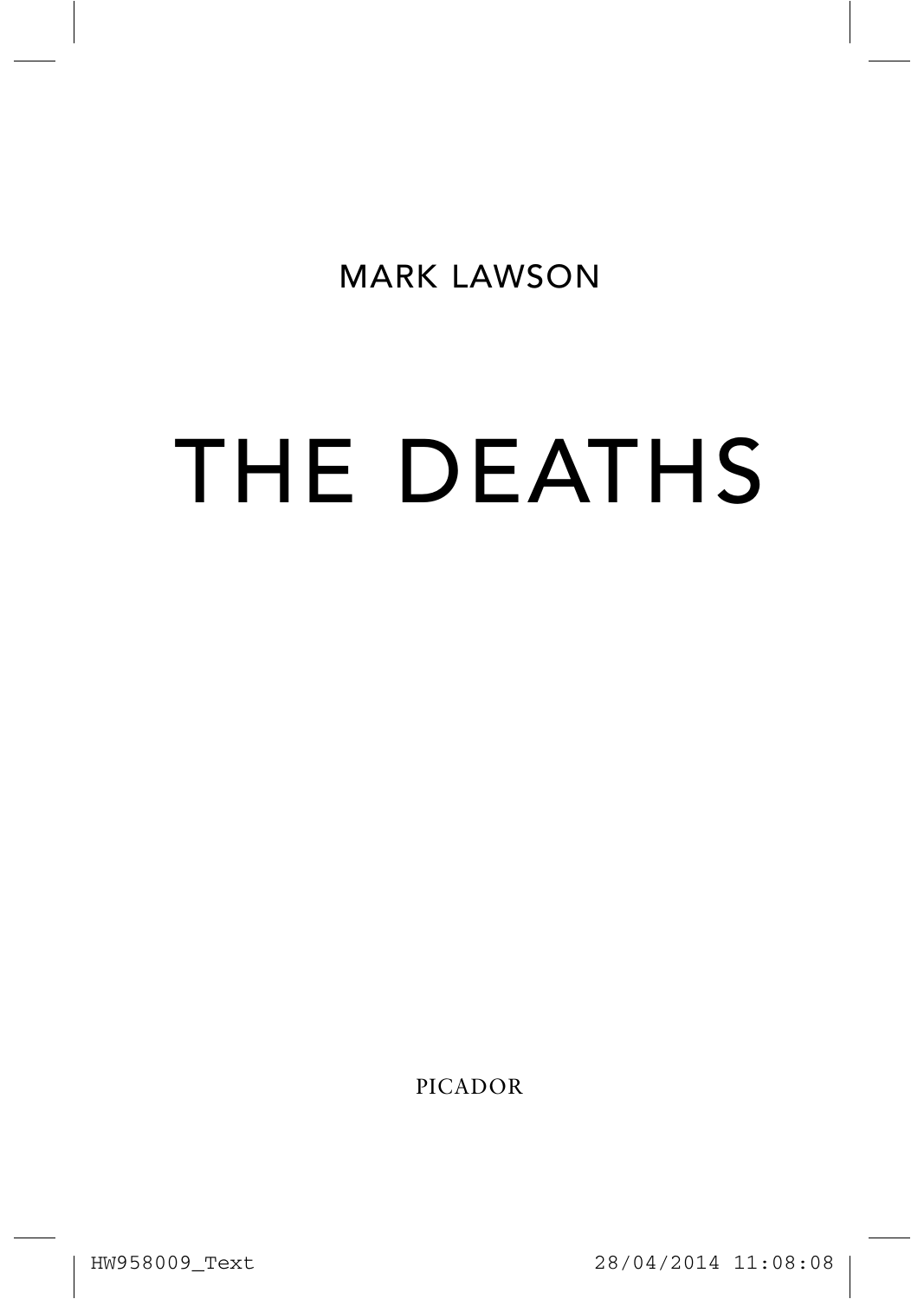MARK LAWSON

## THE DEATHS

PICADOR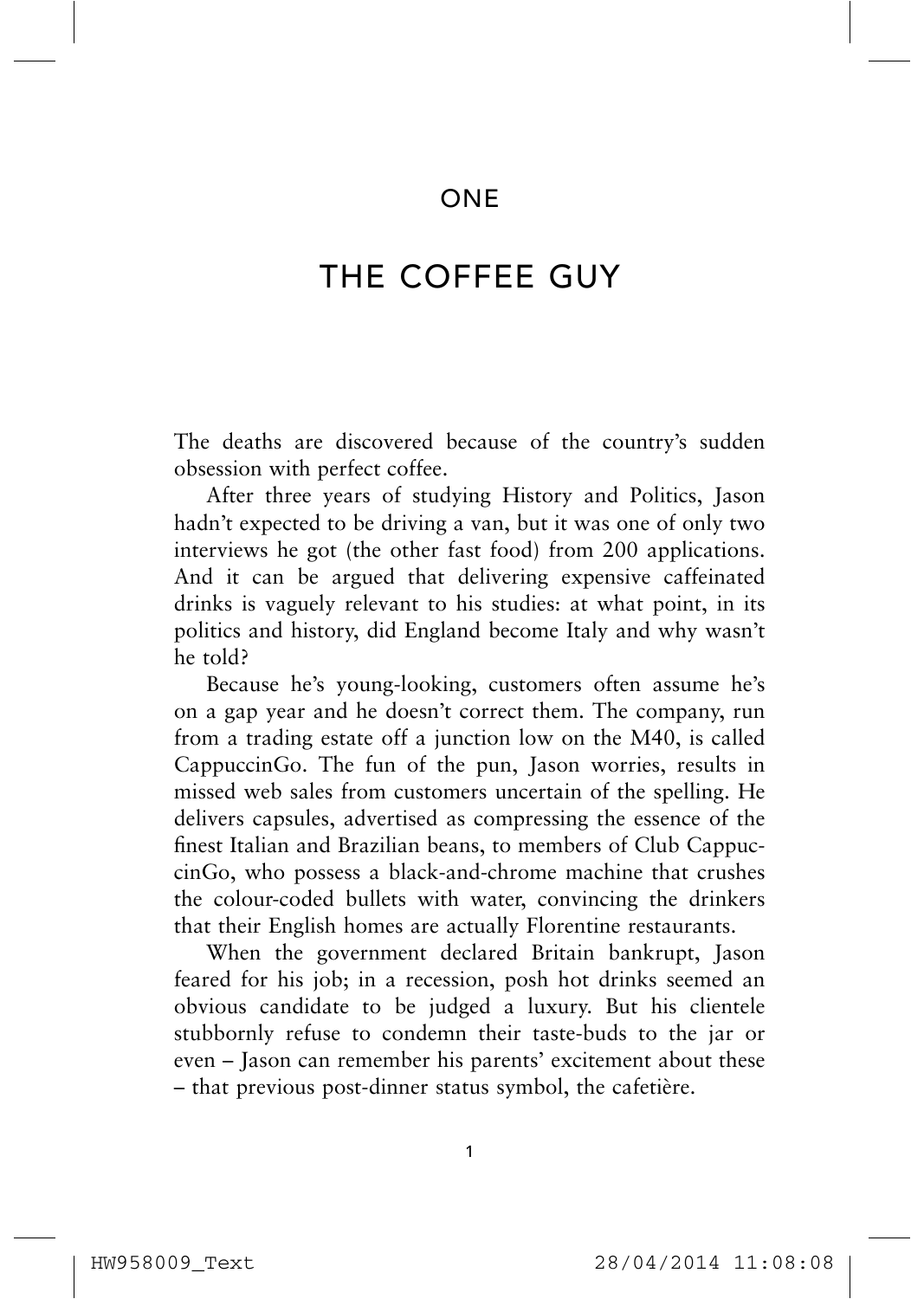## THE COFFEE GUY

The deaths are discovered because of the country's sudden obsession with perfect coffee.

After three years of studying History and Politics, Jason hadn't expected to be driving a van, but it was one of only two interviews he got (the other fast food) from 200 applications. And it can be argued that delivering expensive caffeinated drinks is vaguely relevant to his studies: at what point, in its politics and history, did England become Italy and why wasn't he told?

Because he's young-looking, customers often assume he's on a gap year and he doesn't correct them. The company, run from a trading estate off a junction low on the M40, is called CappuccinGo. The fun of the pun, Jason worries, results in missed web sales from customers uncertain of the spelling. He delivers capsules, advertised as compressing the essence of the finest Italian and Brazilian beans, to members of Club CappuccinGo, who possess a black-and-chrome machine that crushes the colour-coded bullets with water, convincing the drinkers that their English homes are actually Florentine restaurants.

When the government declared Britain bankrupt, Jason feared for his job; in a recession, posh hot drinks seemed an obvious candidate to be judged a luxury. But his clientele stubbornly refuse to condemn their taste-buds to the jar or even – Jason can remember his parents' excitement about these – that previous post-dinner status symbol, the cafetière.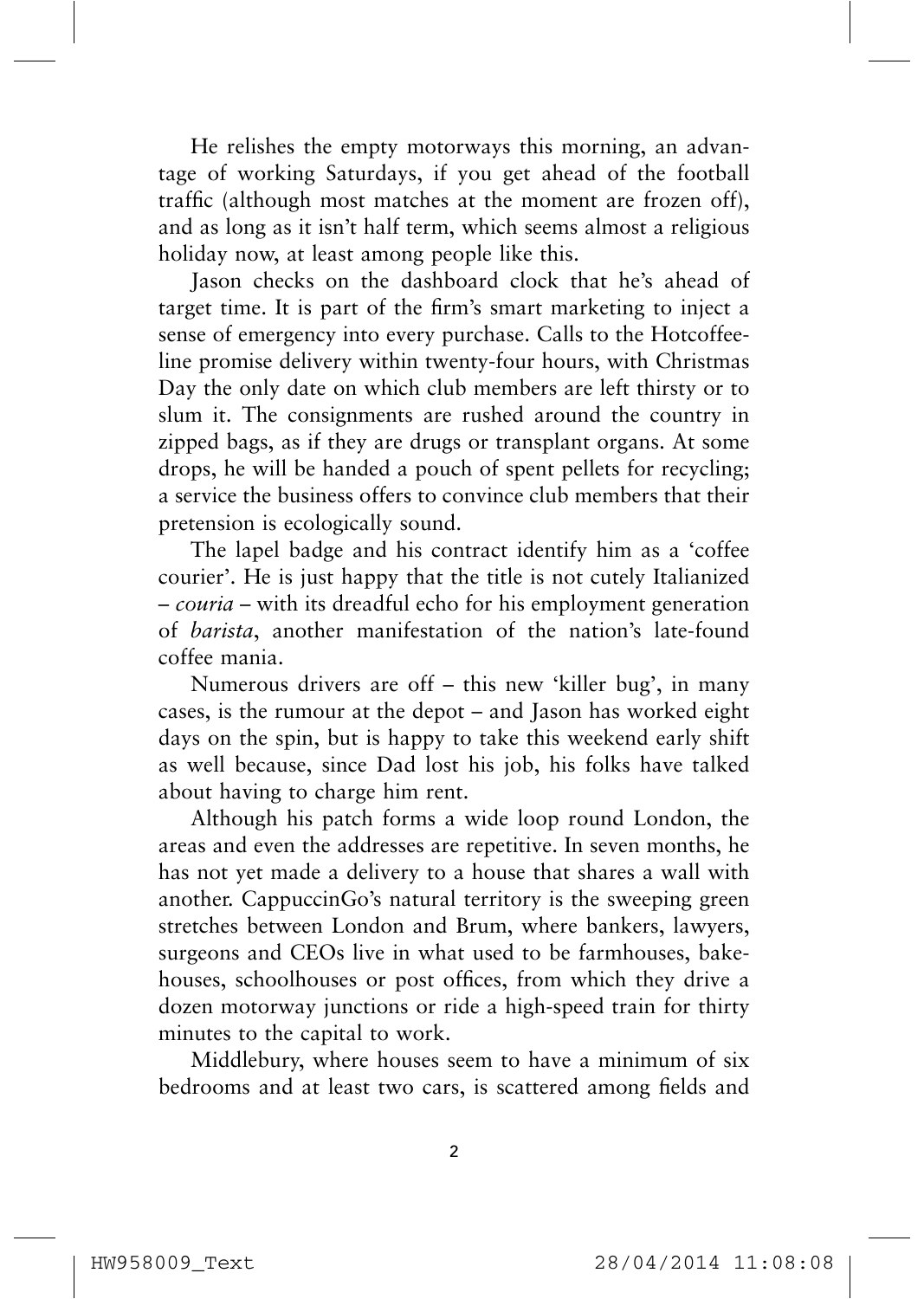He relishes the empty motorways this morning, an advantage of working Saturdays, if you get ahead of the football traffic (although most matches at the moment are frozen off), and as long as it isn't half term, which seems almost a religious holiday now, at least among people like this.

Jason checks on the dashboard clock that he's ahead of target time. It is part of the firm's smart marketing to inject a sense of emergency into every purchase. Calls to the Hotcoffeeline promise delivery within twenty-four hours, with Christmas Day the only date on which club members are left thirsty or to slum it. The consignments are rushed around the country in zipped bags, as if they are drugs or transplant organs. At some drops, he will be handed a pouch of spent pellets for recycling; a service the business offers to convince club members that their pretension is ecologically sound.

The lapel badge and his contract identify him as a 'coffee courier'. He is just happy that the title is not cutely Italianized – *couria* – with its dreadful echo for his employment generation of *barista*, another manifestation of the nation's late-found coffee mania.

Numerous drivers are off – this new 'killer bug', in many cases, is the rumour at the depot – and Jason has worked eight days on the spin, but is happy to take this weekend early shift as well because, since Dad lost his job, his folks have talked about having to charge him rent.

Although his patch forms a wide loop round London, the areas and even the addresses are repetitive. In seven months, he has not yet made a delivery to a house that shares a wall with another. CappuccinGo's natural territory is the sweeping green stretches between London and Brum, where bankers, lawyers, surgeons and CEOs live in what used to be farmhouses, bakehouses, schoolhouses or post offices, from which they drive a dozen motorway junctions or ride a high-speed train for thirty minutes to the capital to work.

Middlebury, where houses seem to have a minimum of six bedrooms and at least two cars, is scattered among fields and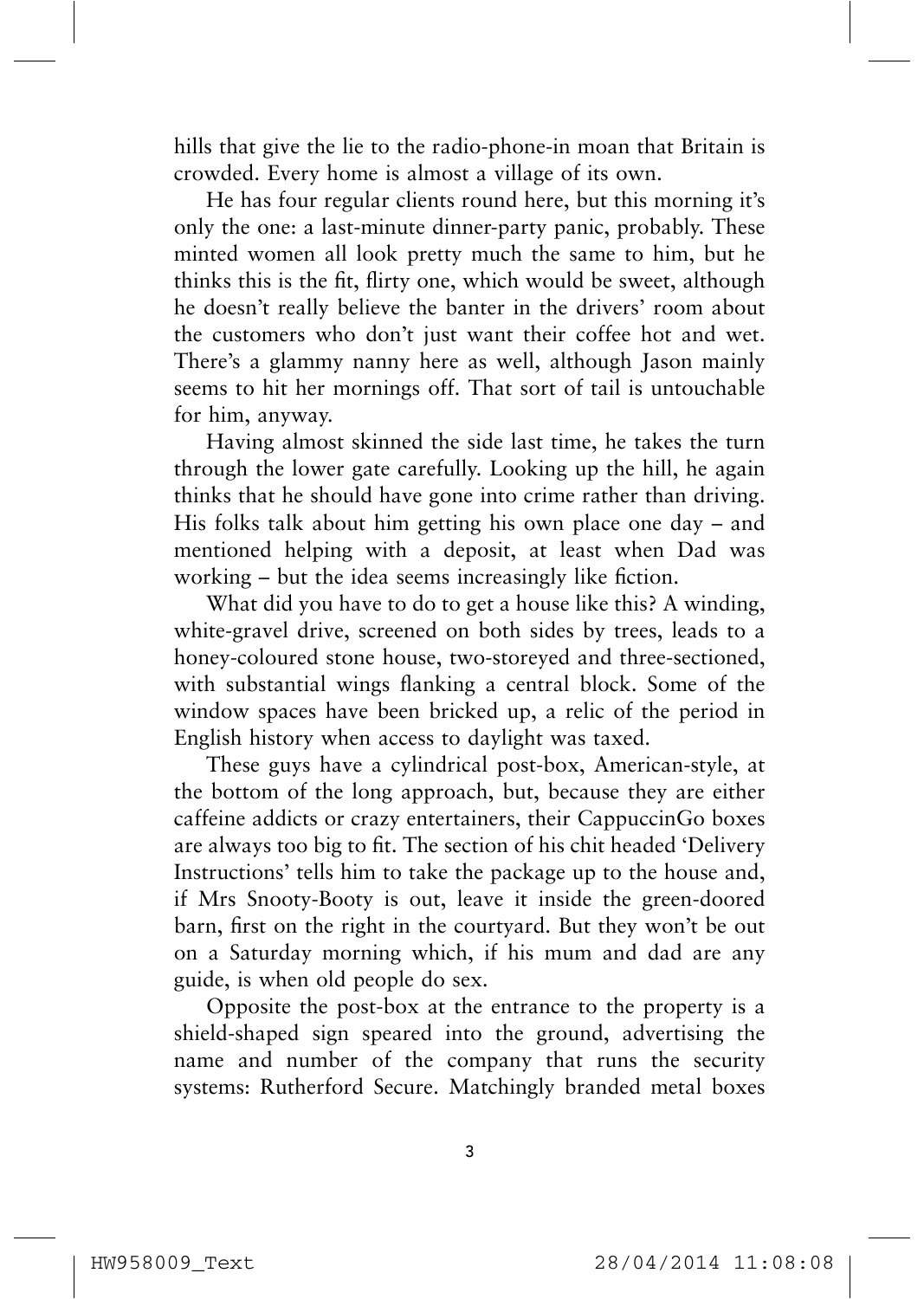hills that give the lie to the radio-phone-in moan that Britain is crowded. Every home is almost a village of its own.

He has four regular clients round here, but this morning it's only the one: a last-minute dinner-party panic, probably. These minted women all look pretty much the same to him, but he thinks this is the fit, flirty one, which would be sweet, although he doesn't really believe the banter in the drivers' room about the customers who don't just want their coffee hot and wet. There's a glammy nanny here as well, although Jason mainly seems to hit her mornings off. That sort of tail is untouchable for him, anyway.

Having almost skinned the side last time, he takes the turn through the lower gate carefully. Looking up the hill, he again thinks that he should have gone into crime rather than driving. His folks talk about him getting his own place one day – and mentioned helping with a deposit, at least when Dad was working – but the idea seems increasingly like fiction.

What did you have to do to get a house like this? A winding, white-gravel drive, screened on both sides by trees, leads to a honey-coloured stone house, two-storeyed and three-sectioned, with substantial wings flanking a central block. Some of the window spaces have been bricked up, a relic of the period in English history when access to daylight was taxed.

These guys have a cylindrical post-box, American-style, at the bottom of the long approach, but, because they are either caffeine addicts or crazy entertainers, their CappuccinGo boxes are always too big to fit. The section of his chit headed 'Delivery Instructions' tells him to take the package up to the house and, if Mrs Snooty-Booty is out, leave it inside the green-doored barn, first on the right in the courtyard. But they won't be out on a Saturday morning which, if his mum and dad are any guide, is when old people do sex.

Opposite the post-box at the entrance to the property is a shield-shaped sign speared into the ground, advertising the name and number of the company that runs the security systems: Rutherford Secure. Matchingly branded metal boxes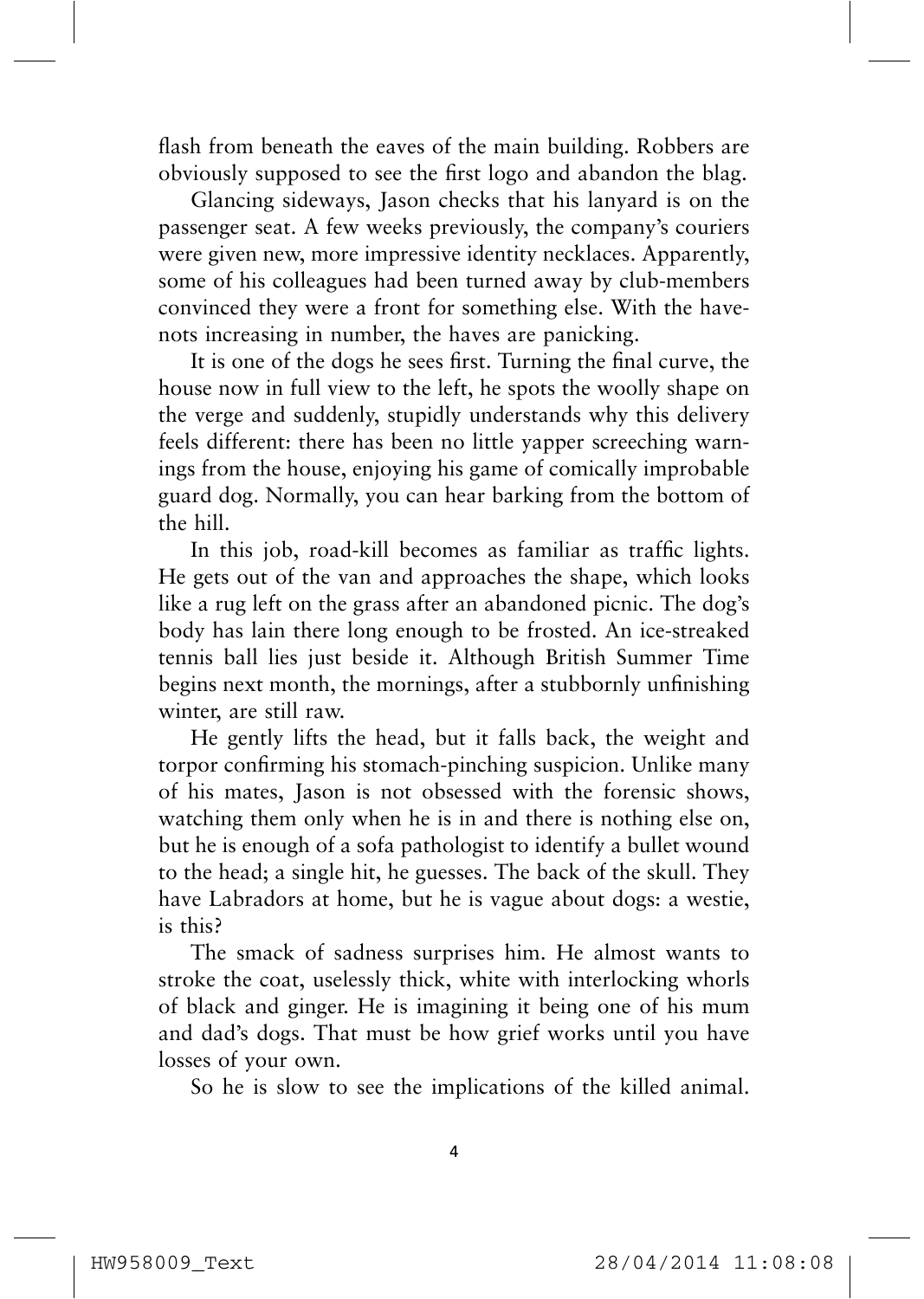flash from beneath the eaves of the main building. Robbers are obviously supposed to see the first logo and abandon the blag.

Glancing sideways, Jason checks that his lanyard is on the passenger seat. A few weeks previously, the company's couriers were given new, more impressive identity necklaces. Apparently, some of his colleagues had been turned away by club-members convinced they were a front for something else. With the havenots increasing in number, the haves are panicking.

It is one of the dogs he sees first. Turning the final curve, the house now in full view to the left, he spots the woolly shape on the verge and suddenly, stupidly understands why this delivery feels different: there has been no little yapper screeching warnings from the house, enjoying his game of comically improbable guard dog. Normally, you can hear barking from the bottom of the hill.

In this job, road-kill becomes as familiar as traffic lights. He gets out of the van and approaches the shape, which looks like a rug left on the grass after an abandoned picnic. The dog's body has lain there long enough to be frosted. An ice-streaked tennis ball lies just beside it. Although British Summer Time begins next month, the mornings, after a stubbornly unfinishing winter, are still raw.

He gently lifts the head, but it falls back, the weight and torpor confirming his stomach-pinching suspicion. Unlike many of his mates, Jason is not obsessed with the forensic shows, watching them only when he is in and there is nothing else on, but he is enough of a sofa pathologist to identify a bullet wound to the head; a single hit, he guesses. The back of the skull. They have Labradors at home, but he is vague about dogs: a westie, is this?

The smack of sadness surprises him. He almost wants to stroke the coat, uselessly thick, white with interlocking whorls of black and ginger. He is imagining it being one of his mum and dad's dogs. That must be how grief works until you have losses of your own.

So he is slow to see the implications of the killed animal.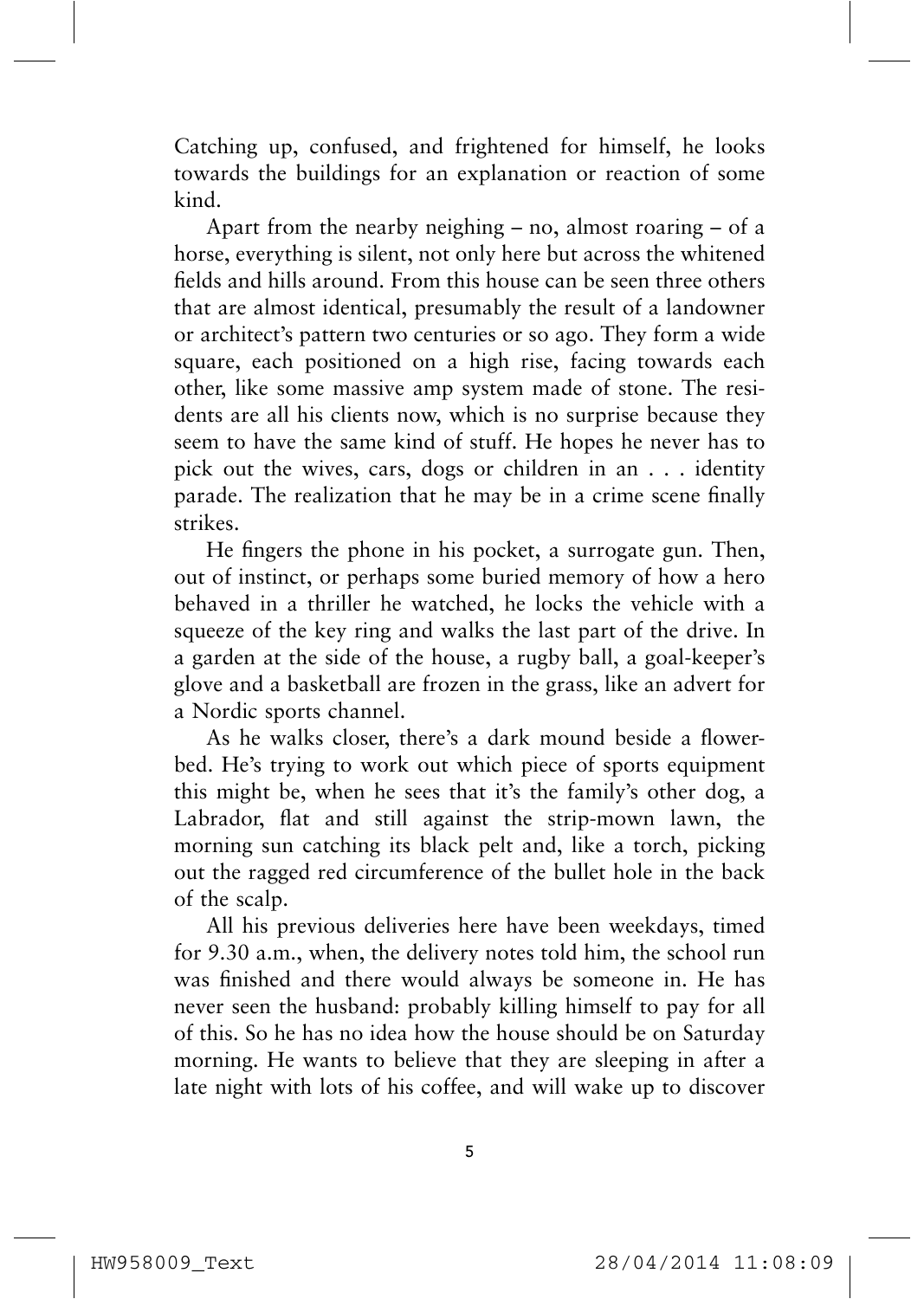Catching up, confused, and frightened for himself, he looks towards the buildings for an explanation or reaction of some kind.

Apart from the nearby neighing – no, almost roaring – of a horse, everything is silent, not only here but across the whitened fields and hills around. From this house can be seen three others that are almost identical, presumably the result of a landowner or architect's pattern two centuries or so ago. They form a wide square, each positioned on a high rise, facing towards each other, like some massive amp system made of stone. The residents are all his clients now, which is no surprise because they seem to have the same kind of stuff. He hopes he never has to pick out the wives, cars, dogs or children in an . . . identity parade. The realization that he may be in a crime scene finally strikes.

He fingers the phone in his pocket, a surrogate gun. Then, out of instinct, or perhaps some buried memory of how a hero behaved in a thriller he watched, he locks the vehicle with a squeeze of the key ring and walks the last part of the drive. In a garden at the side of the house, a rugby ball, a goal-keeper's glove and a basketball are frozen in the grass, like an advert for a Nordic sports channel.

As he walks closer, there's a dark mound beside a flowerbed. He's trying to work out which piece of sports equipment this might be, when he sees that it's the family's other dog, a Labrador, flat and still against the strip-mown lawn, the morning sun catching its black pelt and, like a torch, picking out the ragged red circumference of the bullet hole in the back of the scalp.

All his previous deliveries here have been weekdays, timed for 9.30 a.m., when, the delivery notes told him, the school run was finished and there would always be someone in. He has never seen the husband: probably killing himself to pay for all of this. So he has no idea how the house should be on Saturday morning. He wants to believe that they are sleeping in after a late night with lots of his coffee, and will wake up to discover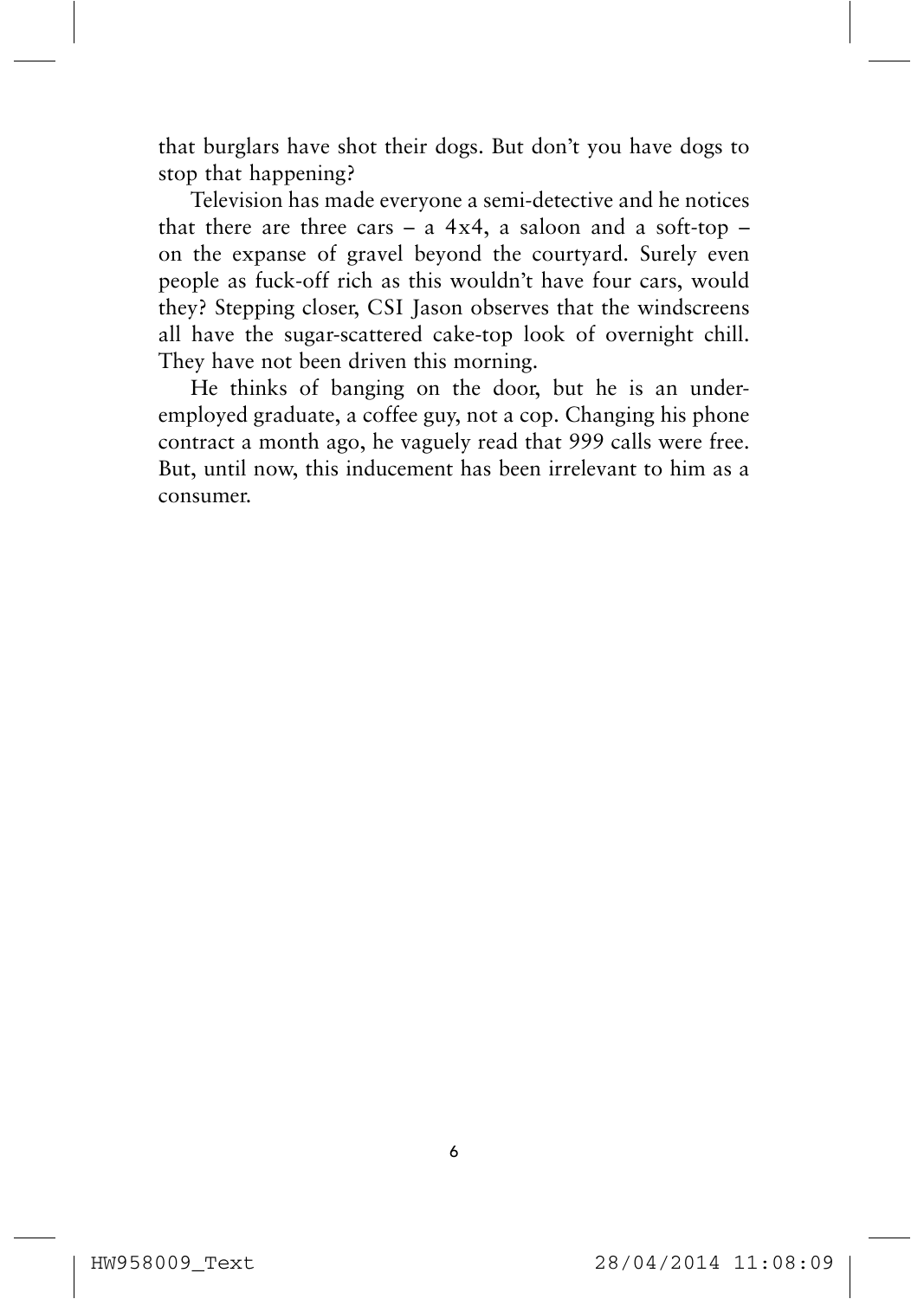that burglars have shot their dogs. But don't you have dogs to stop that happening?

Television has made everyone a semi-detective and he notices that there are three cars – a  $4x4$ , a saloon and a soft-top – on the expanse of gravel beyond the courtyard. Surely even people as fuck-off rich as this wouldn't have four cars, would they? Stepping closer, CSI Jason observes that the windscreens all have the sugar-scattered cake-top look of overnight chill. They have not been driven this morning.

He thinks of banging on the door, but he is an underemployed graduate, a coffee guy, not a cop. Changing his phone contract a month ago, he vaguely read that 999 calls were free. But, until now, this inducement has been irrelevant to him as a consumer.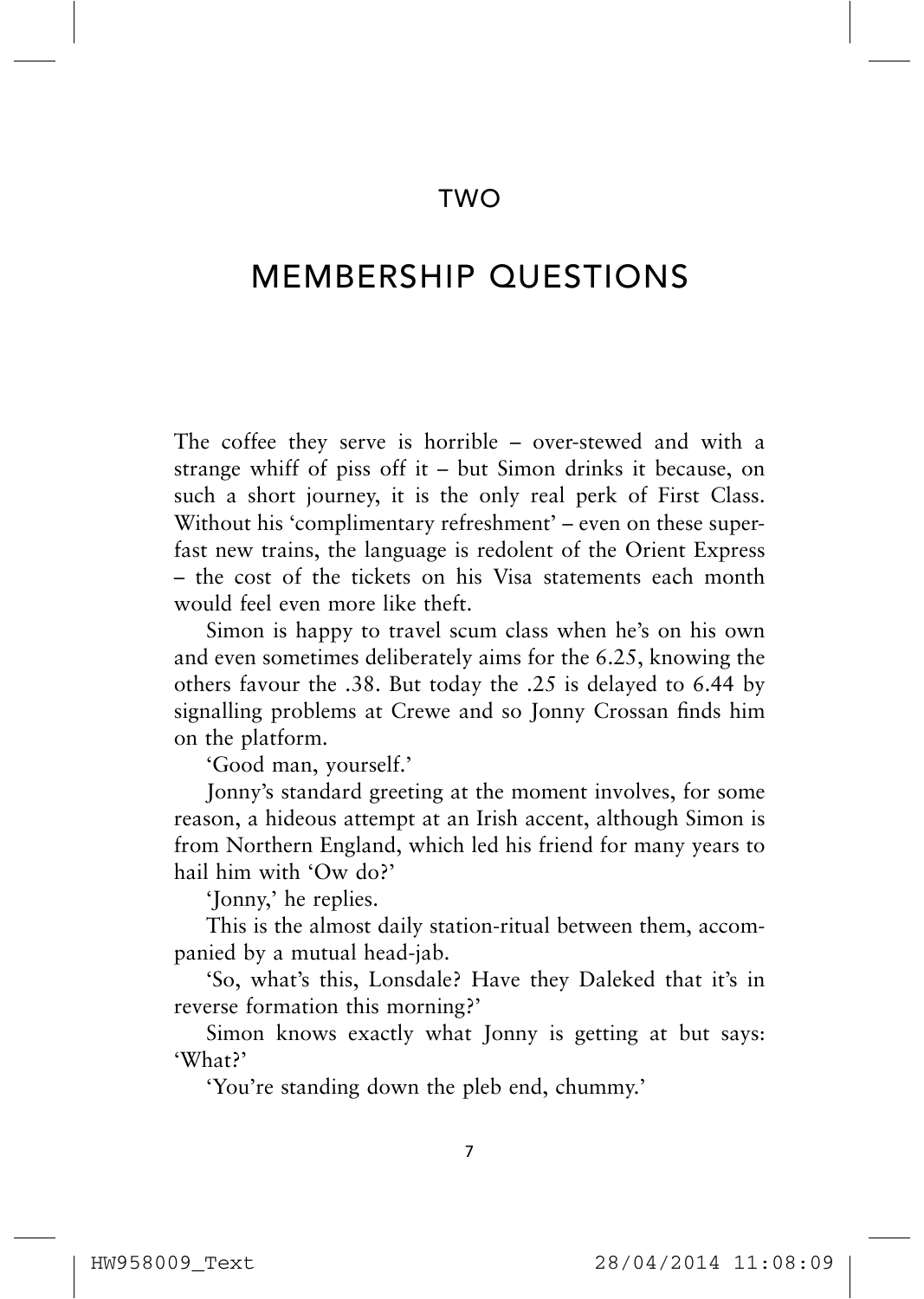## **TWO**

## MEMBERSHIP QUESTIONS

The coffee they serve is horrible – over-stewed and with a strange whiff of piss off it – but Simon drinks it because, on such a short journey, it is the only real perk of First Class. Without his 'complimentary refreshment' – even on these superfast new trains, the language is redolent of the Orient Express – the cost of the tickets on his Visa statements each month would feel even more like theft.

Simon is happy to travel scum class when he's on his own and even sometimes deliberately aims for the 6.25, knowing the others favour the .38. But today the .25 is delayed to 6.44 by signalling problems at Crewe and so Jonny Crossan finds him on the platform.

'Good man, yourself.'

Jonny's standard greeting at the moment involves, for some reason, a hideous attempt at an Irish accent, although Simon is from Northern England, which led his friend for many years to hail him with 'Ow do?'

'Jonny,' he replies.

This is the almost daily station-ritual between them, accompanied by a mutual head-jab.

'So, what's this, Lonsdale? Have they Daleked that it's in reverse formation this morning?'

Simon knows exactly what Jonny is getting at but says: 'What?'

'You're standing down the pleb end, chummy.'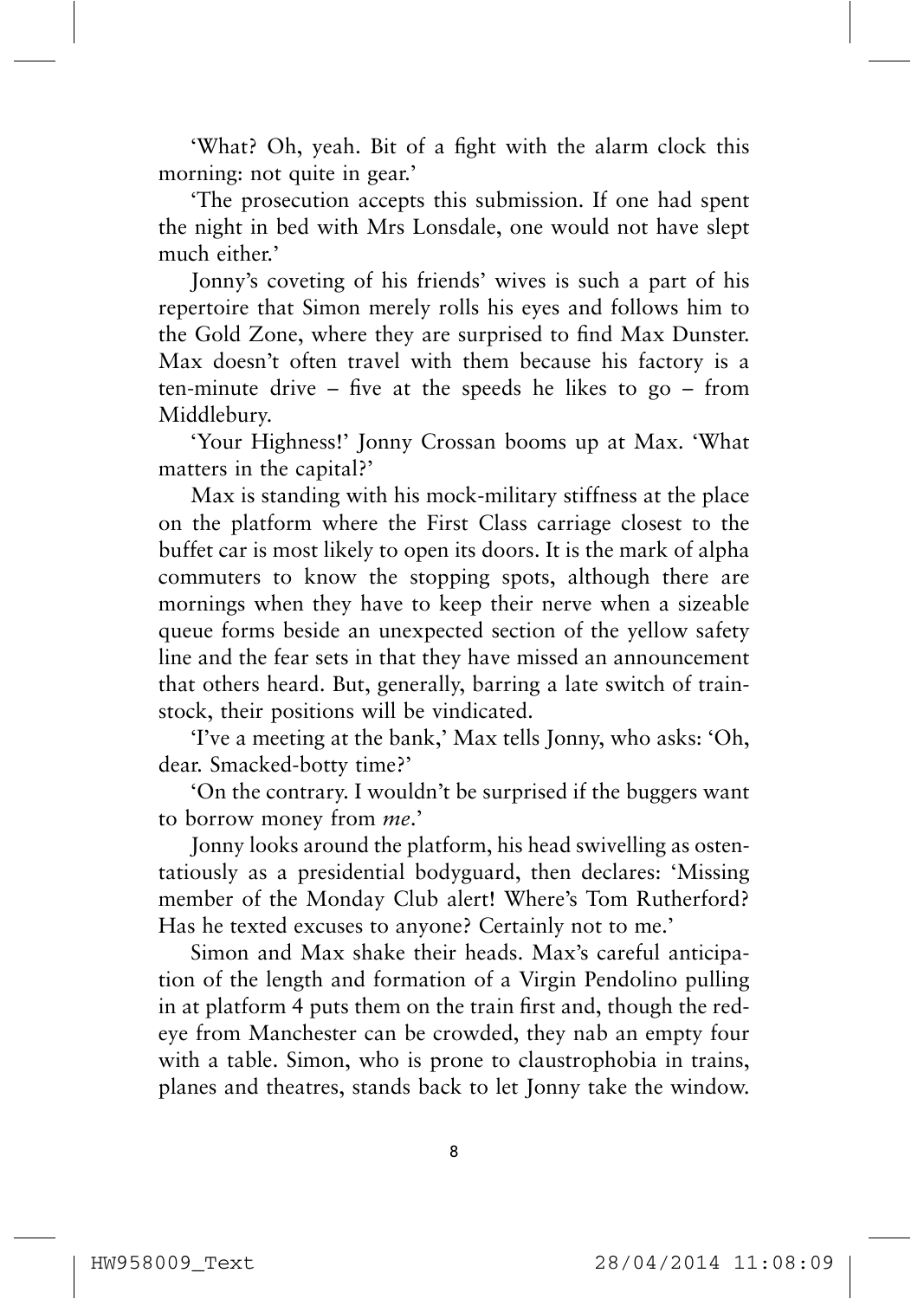'What? Oh, yeah. Bit of a fight with the alarm clock this morning: not quite in gear.'

'The prosecution accepts this submission. If one had spent the night in bed with Mrs Lonsdale, one would not have slept much either.'

Jonny's coveting of his friends' wives is such a part of his repertoire that Simon merely rolls his eyes and follows him to the Gold Zone, where they are surprised to find Max Dunster. Max doesn't often travel with them because his factory is a ten-minute drive – five at the speeds he likes to go – from Middlebury.

'Your Highness!' Jonny Crossan booms up at Max. 'What matters in the capital?'

Max is standing with his mock-military stiffness at the place on the platform where the First Class carriage closest to the buffet car is most likely to open its doors. It is the mark of alpha commuters to know the stopping spots, although there are mornings when they have to keep their nerve when a sizeable queue forms beside an unexpected section of the yellow safety line and the fear sets in that they have missed an announcement that others heard. But, generally, barring a late switch of trainstock, their positions will be vindicated.

'I've a meeting at the bank,' Max tells Jonny, who asks: 'Oh, dear. Smacked-botty time?'

'On the contrary. I wouldn't be surprised if the buggers want to borrow money from *me*.'

Jonny looks around the platform, his head swivelling as ostentatiously as a presidential bodyguard, then declares: 'Missing member of the Monday Club alert! Where's Tom Rutherford? Has he texted excuses to anyone? Certainly not to me.'

Simon and Max shake their heads. Max's careful anticipation of the length and formation of a Virgin Pendolino pulling in at platform 4 puts them on the train first and, though the redeye from Manchester can be crowded, they nab an empty four with a table. Simon, who is prone to claustrophobia in trains, planes and theatres, stands back to let Jonny take the window.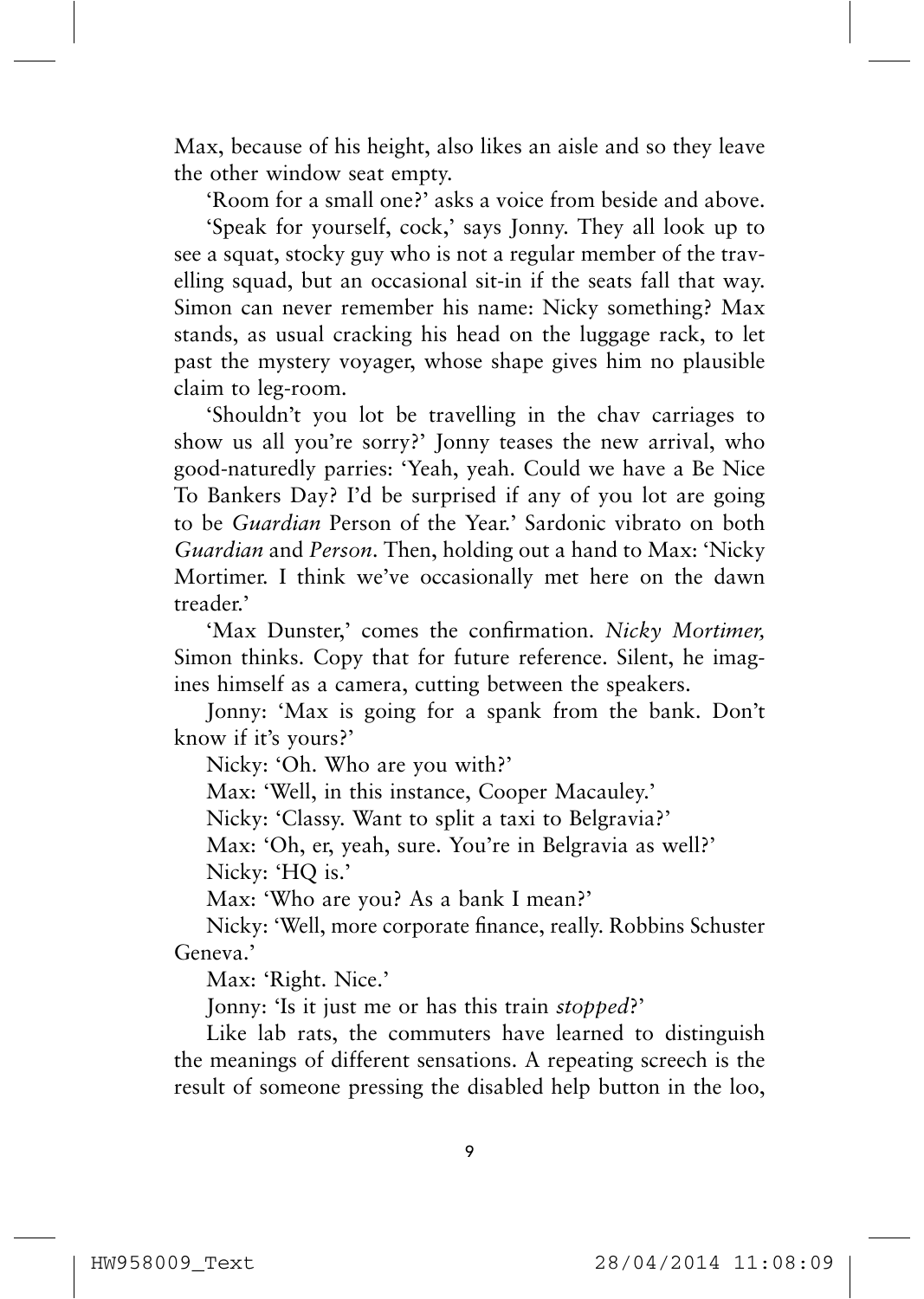Max, because of his height, also likes an aisle and so they leave the other window seat empty.

'Room for a small one?' asks a voice from beside and above.

'Speak for yourself, cock,' says Jonny. They all look up to see a squat, stocky guy who is not a regular member of the travelling squad, but an occasional sit-in if the seats fall that way. Simon can never remember his name: Nicky something? Max stands, as usual cracking his head on the luggage rack, to let past the mystery voyager, whose shape gives him no plausible claim to leg-room.

'Shouldn't you lot be travelling in the chav carriages to show us all you're sorry?' Jonny teases the new arrival, who good-naturedly parries: 'Yeah, yeah. Could we have a Be Nice To Bankers Day? I'd be surprised if any of you lot are going to be *Guardian* Person of the Year.' Sardonic vibrato on both *Guardian* and *Person*. Then, holding out a hand to Max: 'Nicky Mortimer. I think we've occasionally met here on the dawn treader.'

'Max Dunster,' comes the confirmation. *Nicky Mortimer,* Simon thinks. Copy that for future reference. Silent, he imagines himself as a camera, cutting between the speakers.

Jonny: 'Max is going for a spank from the bank. Don't know if it's yours?'

Nicky: 'Oh. Who are you with?'

Max: 'Well, in this instance, Cooper Macauley.'

Nicky: 'Classy. Want to split a taxi to Belgravia?'

Max: 'Oh, er, yeah, sure. You're in Belgravia as well?'

Nicky: 'HQ is.'

Max: 'Who are you? As a bank I mean?'

Nicky: 'Well, more corporate finance, really. Robbins Schuster Geneva.'

Max: 'Right. Nice.'

Jonny: 'Is it just me or has this train *stopped*?'

Like lab rats, the commuters have learned to distinguish the meanings of different sensations. A repeating screech is the result of someone pressing the disabled help button in the loo,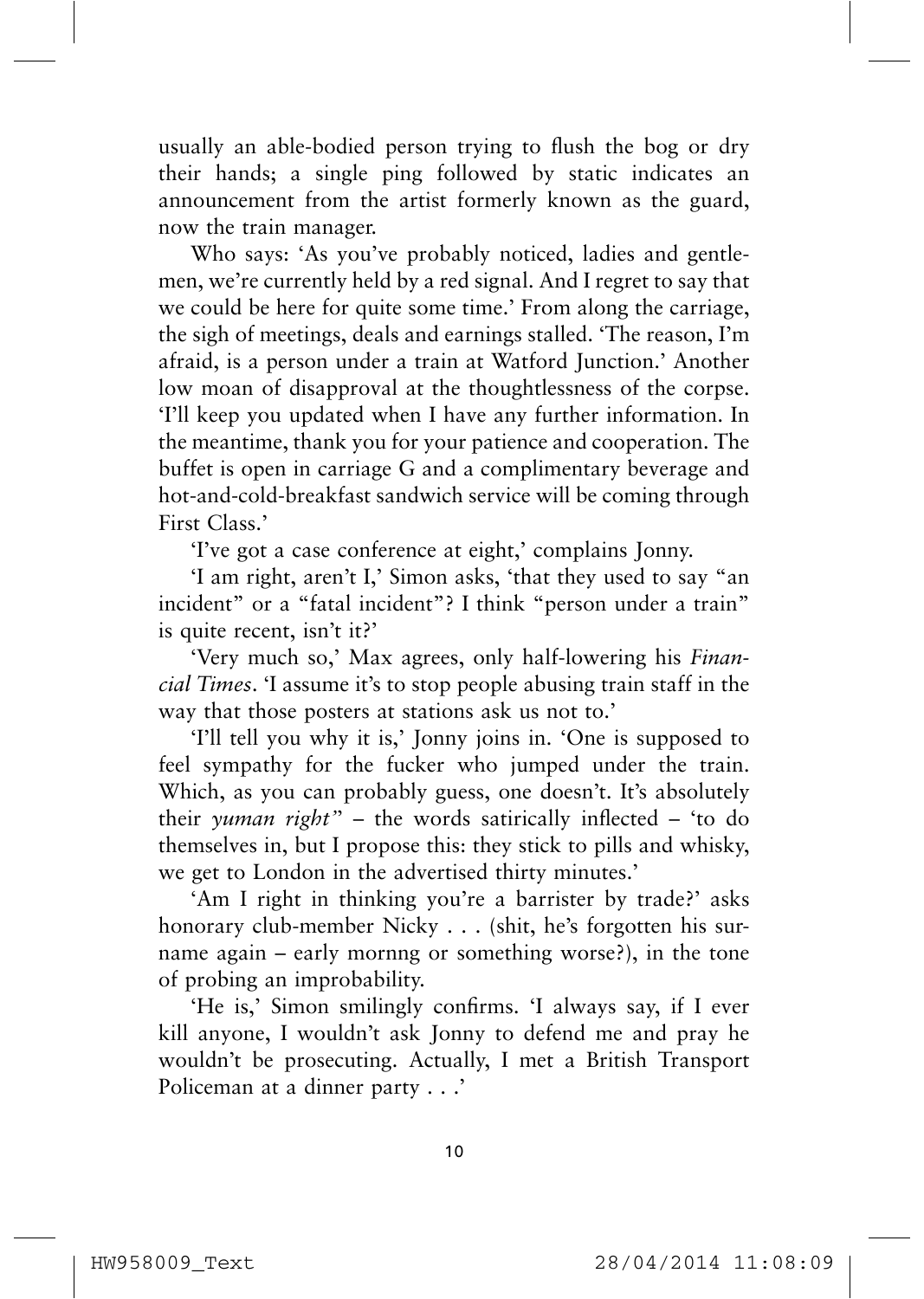usually an able-bodied person trying to flush the bog or dry their hands; a single ping followed by static indicates an announcement from the artist formerly known as the guard, now the train manager.

Who says: 'As you've probably noticed, ladies and gentlemen, we're currently held by a red signal. And I regret to say that we could be here for quite some time.' From along the carriage, the sigh of meetings, deals and earnings stalled. 'The reason, I'm afraid, is a person under a train at Watford Junction.' Another low moan of disapproval at the thoughtlessness of the corpse. 'I'll keep you updated when I have any further information. In the meantime, thank you for your patience and cooperation. The buffet is open in carriage G and a complimentary beverage and hot-and-cold-breakfast sandwich service will be coming through First Class.'

'I've got a case conference at eight,' complains Jonny.

'I am right, aren't I,' Simon asks, 'that they used to say "an incident" or a "fatal incident"? I think "person under a train" is quite recent, isn't it?'

'Very much so,' Max agrees, only half-lowering his *Financial Times*. 'I assume it's to stop people abusing train staff in the way that those posters at stations ask us not to.'

'I'll tell you why it is,' Jonny joins in. 'One is supposed to feel sympathy for the fucker who jumped under the train. Which, as you can probably guess, one doesn't. It's absolutely their *yuman right'*' – the words satirically inflected – 'to do themselves in, but I propose this: they stick to pills and whisky, we get to London in the advertised thirty minutes.'

'Am I right in thinking you're a barrister by trade?' asks honorary club-member Nicky . . . (shit, he's forgotten his surname again – early mornng or something worse?), in the tone of probing an improbability.

'He is,' Simon smilingly confirms. 'I always say, if I ever kill anyone, I wouldn't ask Jonny to defend me and pray he wouldn't be prosecuting. Actually, I met a British Transport Policeman at a dinner party . . .'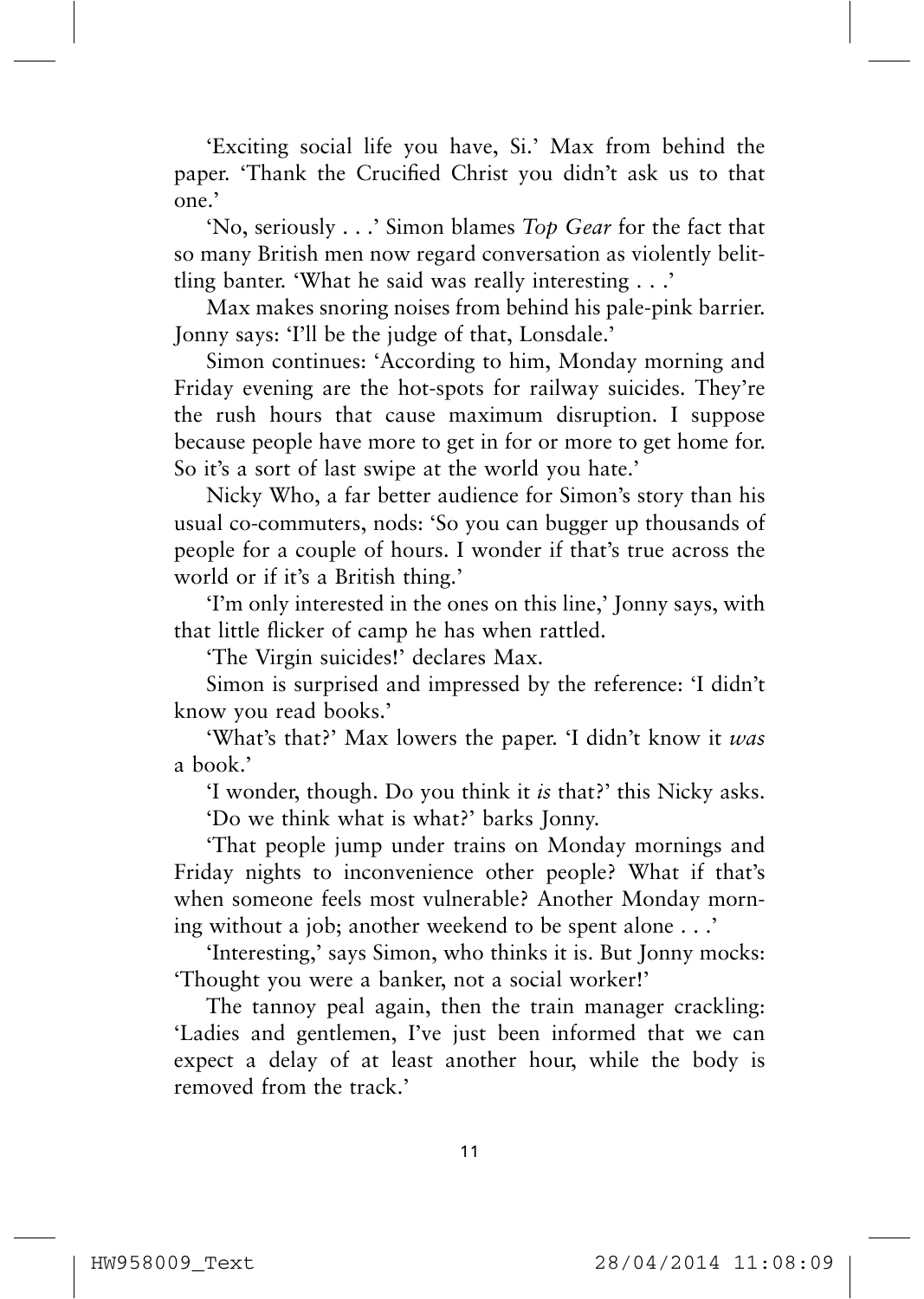'Exciting social life you have, Si.' Max from behind the paper. 'Thank the Crucified Christ you didn't ask us to that one.'

'No, seriously . . .' Simon blames *Top Gear* for the fact that so many British men now regard conversation as violently belittling banter. 'What he said was really interesting . . .'

Max makes snoring noises from behind his pale-pink barrier. Jonny says: 'I'll be the judge of that, Lonsdale.'

Simon continues: 'According to him, Monday morning and Friday evening are the hot-spots for railway suicides. They're the rush hours that cause maximum disruption. I suppose because people have more to get in for or more to get home for. So it's a sort of last swipe at the world you hate.'

Nicky Who, a far better audience for Simon's story than his usual co-commuters, nods: 'So you can bugger up thousands of people for a couple of hours. I wonder if that's true across the world or if it's a British thing.'

'I'm only interested in the ones on this line,' Jonny says, with that little flicker of camp he has when rattled.

'The Virgin suicides!' declares Max.

Simon is surprised and impressed by the reference: 'I didn't know you read books.'

'What's that?' Max lowers the paper. 'I didn't know it *was* a book.'

'I wonder, though. Do you think it *is* that?' this Nicky asks.

'Do we think what is what?' barks Jonny.

'That people jump under trains on Monday mornings and Friday nights to inconvenience other people? What if that's when someone feels most vulnerable? Another Monday morning without a job; another weekend to be spent alone . . .'

'Interesting,' says Simon, who thinks it is. But Jonny mocks: 'Thought you were a banker, not a social worker!'

The tannoy peal again, then the train manager crackling: 'Ladies and gentlemen, I've just been informed that we can expect a delay of at least another hour, while the body is removed from the track.'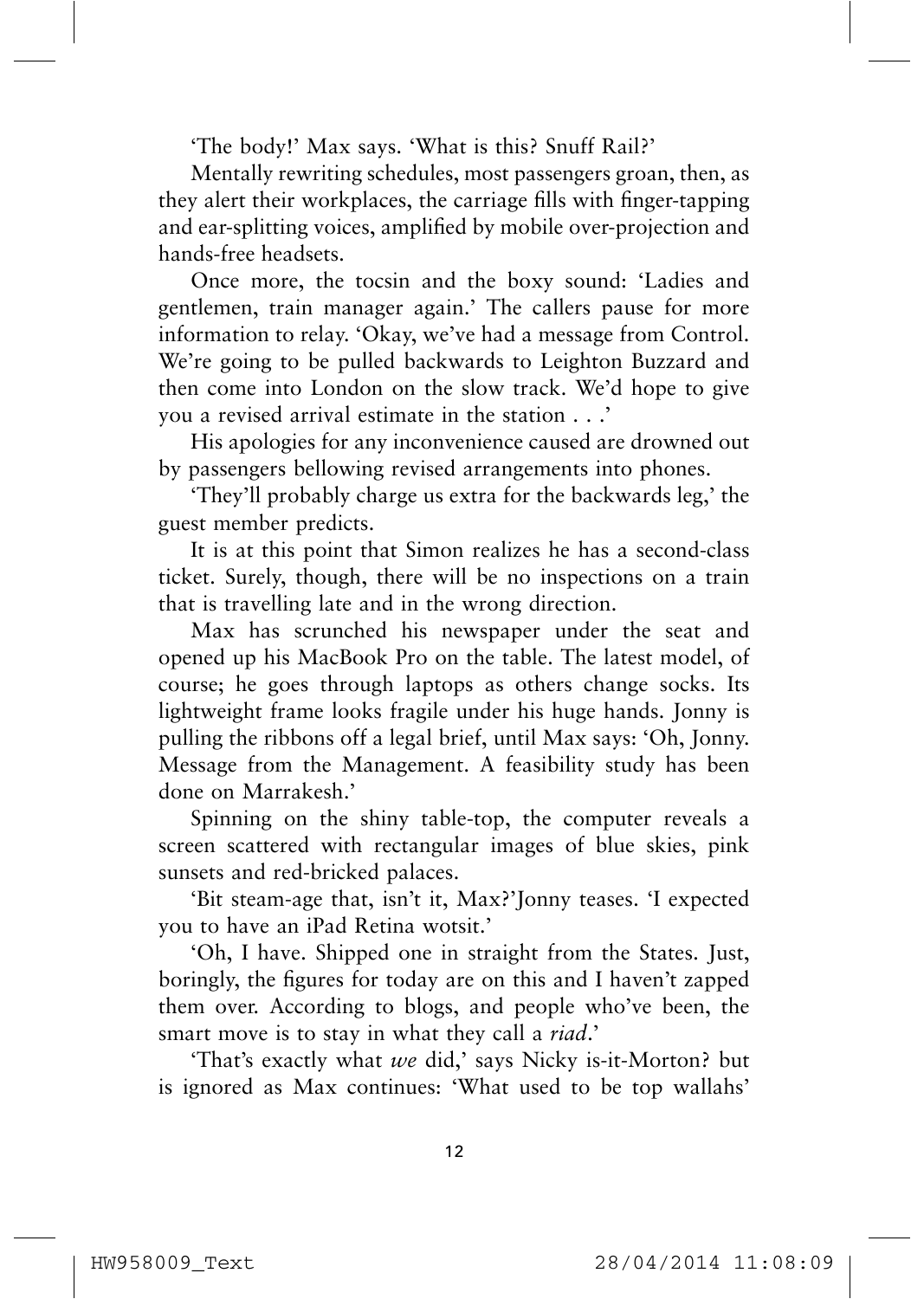'The body!' Max says. 'What is this? Snuff Rail?'

Mentally rewriting schedules, most passengers groan, then, as they alert their workplaces, the carriage fills with finger-tapping and ear-splitting voices, amplified by mobile over-projection and hands-free headsets.

Once more, the tocsin and the boxy sound: 'Ladies and gentlemen, train manager again.' The callers pause for more information to relay. 'Okay, we've had a message from Control. We're going to be pulled backwards to Leighton Buzzard and then come into London on the slow track. We'd hope to give you a revised arrival estimate in the station . . .'

His apologies for any inconvenience caused are drowned out by passengers bellowing revised arrangements into phones.

'They'll probably charge us extra for the backwards leg,' the guest member predicts.

It is at this point that Simon realizes he has a second-class ticket. Surely, though, there will be no inspections on a train that is travelling late and in the wrong direction.

Max has scrunched his newspaper under the seat and opened up his MacBook Pro on the table. The latest model, of course; he goes through laptops as others change socks. Its lightweight frame looks fragile under his huge hands. Jonny is pulling the ribbons off a legal brief, until Max says: 'Oh, Jonny. Message from the Management. A feasibility study has been done on Marrakesh.'

Spinning on the shiny table-top, the computer reveals a screen scattered with rectangular images of blue skies, pink sunsets and red-bricked palaces.

'Bit steam-age that, isn't it, Max?'Jonny teases. 'I expected you to have an iPad Retina wotsit.'

'Oh, I have. Shipped one in straight from the States. Just, boringly, the figures for today are on this and I haven't zapped them over. According to blogs, and people who've been, the smart move is to stay in what they call a *riad*.'

'That's exactly what *we* did,' says Nicky is-it-Morton? but is ignored as Max continues: 'What used to be top wallahs'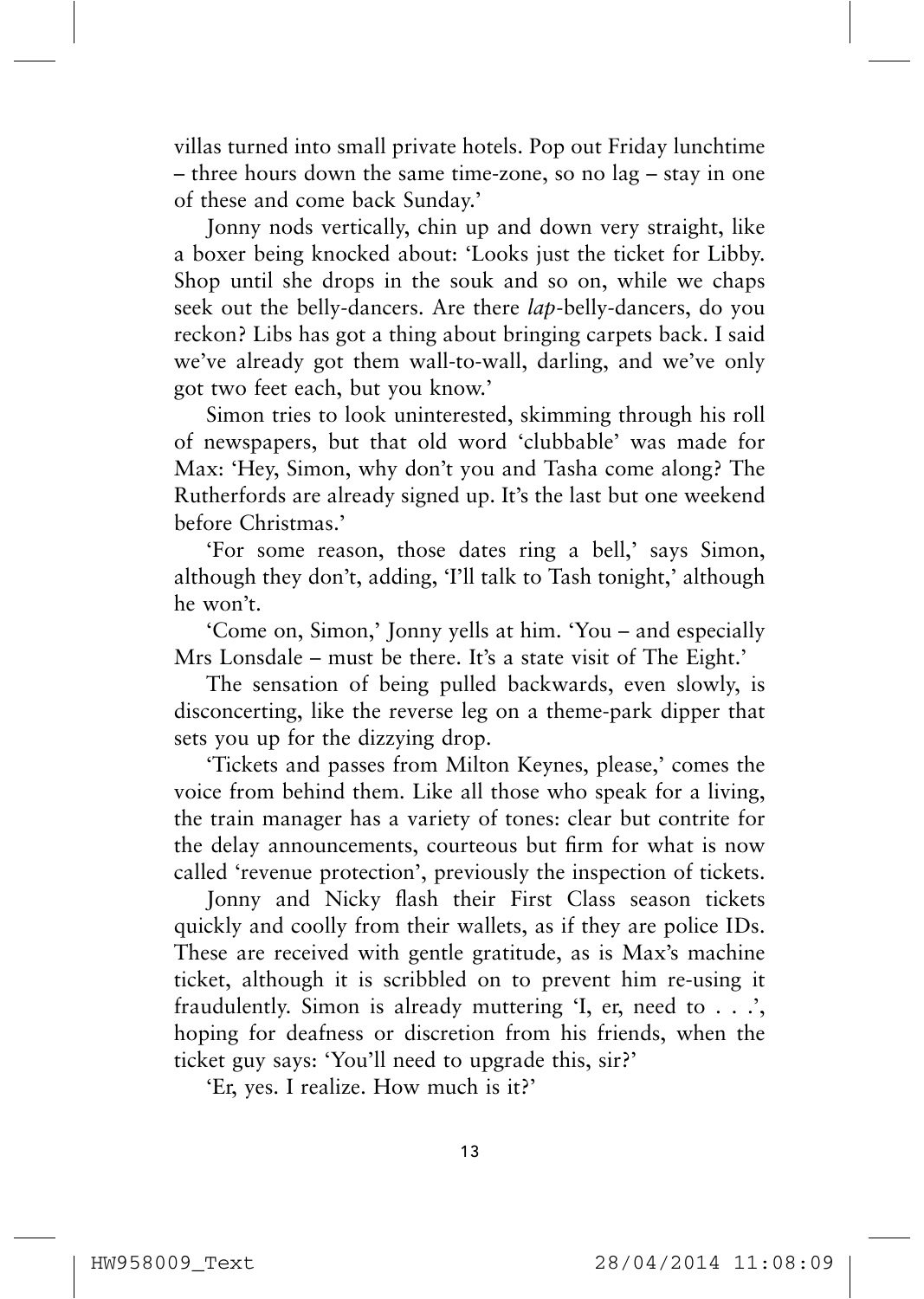villas turned into small private hotels. Pop out Friday lunchtime – three hours down the same time-zone, so no lag – stay in one of these and come back Sunday.'

Jonny nods vertically, chin up and down very straight, like a boxer being knocked about: 'Looks just the ticket for Libby. Shop until she drops in the souk and so on, while we chaps seek out the belly-dancers. Are there *lap*-belly-dancers, do you reckon? Libs has got a thing about bringing carpets back. I said we've already got them wall-to-wall, darling, and we've only got two feet each, but you know.'

Simon tries to look uninterested, skimming through his roll of newspapers, but that old word 'clubbable' was made for Max: 'Hey, Simon, why don't you and Tasha come along? The Rutherfords are already signed up. It's the last but one weekend before Christmas.'

'For some reason, those dates ring a bell,' says Simon, although they don't, adding, 'I'll talk to Tash tonight,' although he won't.

'Come on, Simon,' Jonny yells at him. 'You – and especially Mrs Lonsdale – must be there. It's a state visit of The Eight.'

The sensation of being pulled backwards, even slowly, is disconcerting, like the reverse leg on a theme-park dipper that sets you up for the dizzying drop.

'Tickets and passes from Milton Keynes, please,' comes the voice from behind them. Like all those who speak for a living, the train manager has a variety of tones: clear but contrite for the delay announcements, courteous but firm for what is now called 'revenue protection', previously the inspection of tickets.

Jonny and Nicky flash their First Class season tickets quickly and coolly from their wallets, as if they are police IDs. These are received with gentle gratitude, as is Max's machine ticket, although it is scribbled on to prevent him re-using it fraudulently. Simon is already muttering 'I, er, need to . . .', hoping for deafness or discretion from his friends, when the ticket guy says: 'You'll need to upgrade this, sir?'

'Er, yes. I realize. How much is it?'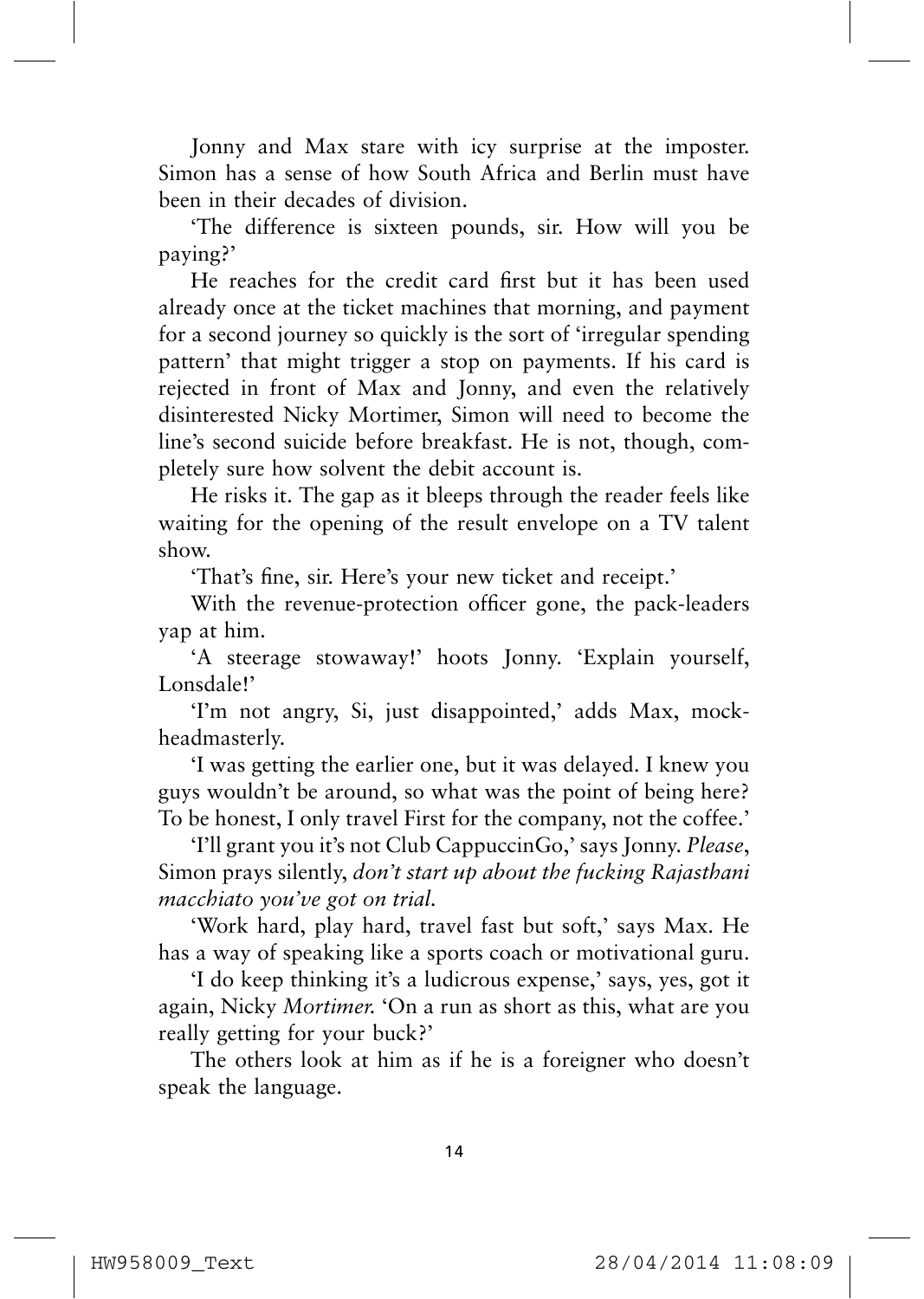Jonny and Max stare with icy surprise at the imposter. Simon has a sense of how South Africa and Berlin must have been in their decades of division.

'The difference is sixteen pounds, sir. How will you be paying?'

He reaches for the credit card first but it has been used already once at the ticket machines that morning, and payment for a second journey so quickly is the sort of 'irregular spending pattern' that might trigger a stop on payments. If his card is rejected in front of Max and Jonny, and even the relatively disinterested Nicky Mortimer, Simon will need to become the line's second suicide before breakfast. He is not, though, completely sure how solvent the debit account is.

He risks it. The gap as it bleeps through the reader feels like waiting for the opening of the result envelope on a TV talent show.

'That's fine, sir. Here's your new ticket and receipt.'

With the revenue-protection officer gone, the pack-leaders yap at him.

'A steerage stowaway!' hoots Jonny. 'Explain yourself, Lonsdale!'

'I'm not angry, Si, just disappointed,' adds Max, mockheadmasterly.

'I was getting the earlier one, but it was delayed. I knew you guys wouldn't be around, so what was the point of being here? To be honest, I only travel First for the company, not the coffee.'

'I'll grant you it's not Club CappuccinGo,' says Jonny. *Please*, Simon prays silently, *don't start up about the fucking Rajasthani macchiato you've got on trial.*

'Work hard, play hard, travel fast but soft,' says Max. He has a way of speaking like a sports coach or motivational guru.

'I do keep thinking it's a ludicrous expense,' says, yes, got it again, Nicky *Mortimer.* 'On a run as short as this, what are you really getting for your buck?'

The others look at him as if he is a foreigner who doesn't speak the language.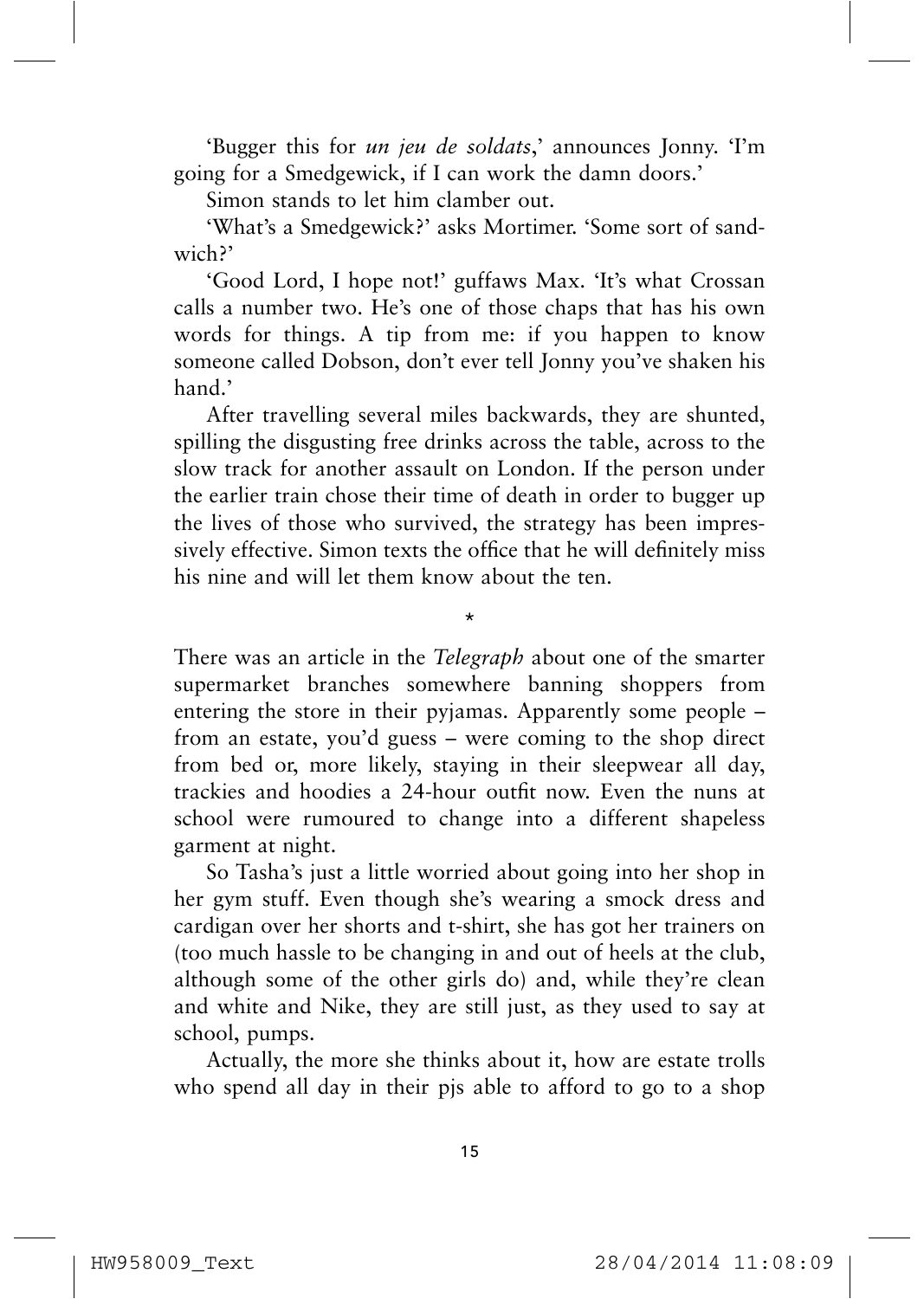'Bugger this for *un jeu de soldats*,' announces Jonny. 'I'm going for a Smedgewick, if I can work the damn doors.'

Simon stands to let him clamber out.

'What's a Smedgewick?' asks Mortimer. 'Some sort of sandwich?'

'Good Lord, I hope not!' guffaws Max. 'It's what Crossan calls a number two. He's one of those chaps that has his own words for things. A tip from me: if you happen to know someone called Dobson, don't ever tell Jonny you've shaken his hand.'

After travelling several miles backwards, they are shunted, spilling the disgusting free drinks across the table, across to the slow track for another assault on London. If the person under the earlier train chose their time of death in order to bugger up the lives of those who survived, the strategy has been impressively effective. Simon texts the office that he will definitely miss his nine and will let them know about the ten.

\*

There was an article in the *Telegraph* about one of the smarter supermarket branches somewhere banning shoppers from entering the store in their pyjamas. Apparently some people – from an estate, you'd guess – were coming to the shop direct from bed or, more likely, staying in their sleepwear all day, trackies and hoodies a 24-hour outfit now. Even the nuns at school were rumoured to change into a different shapeless garment at night.

So Tasha's just a little worried about going into her shop in her gym stuff. Even though she's wearing a smock dress and cardigan over her shorts and t-shirt, she has got her trainers on (too much hassle to be changing in and out of heels at the club, although some of the other girls do) and, while they're clean and white and Nike, they are still just, as they used to say at school, pumps.

Actually, the more she thinks about it, how are estate trolls who spend all day in their pjs able to afford to go to a shop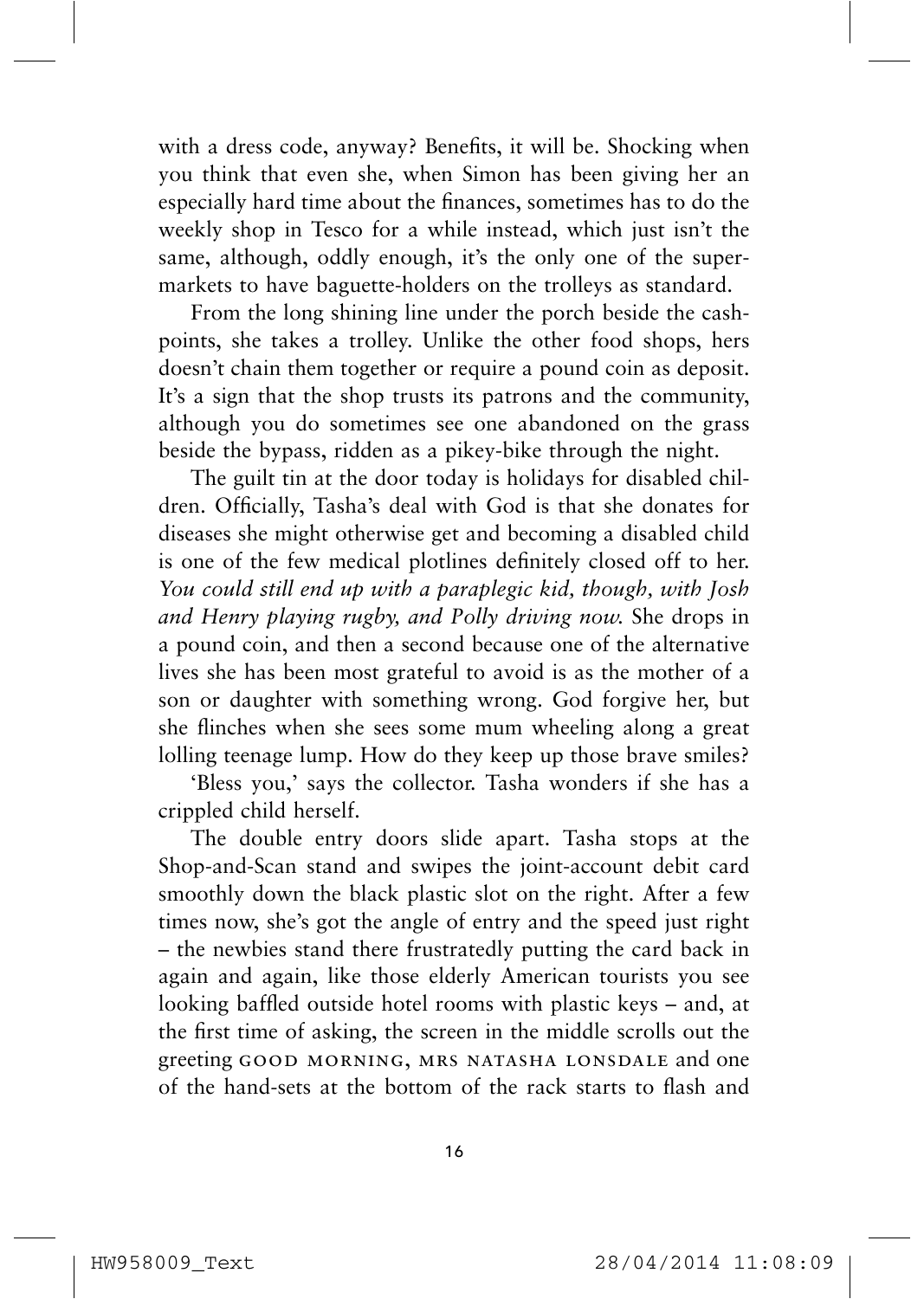with a dress code, anyway? Benefits, it will be. Shocking when you think that even she, when Simon has been giving her an especially hard time about the finances, sometimes has to do the weekly shop in Tesco for a while instead, which just isn't the same, although, oddly enough, it's the only one of the supermarkets to have baguette-holders on the trolleys as standard.

From the long shining line under the porch beside the cashpoints, she takes a trolley. Unlike the other food shops, hers doesn't chain them together or require a pound coin as deposit. It's a sign that the shop trusts its patrons and the community, although you do sometimes see one abandoned on the grass beside the bypass, ridden as a pikey-bike through the night.

The guilt tin at the door today is holidays for disabled children. Officially, Tasha's deal with God is that she donates for diseases she might otherwise get and becoming a disabled child is one of the few medical plotlines definitely closed off to her. *You could still end up with a paraplegic kid, though, with Josh and Henry playing rugby, and Polly driving now.* She drops in a pound coin, and then a second because one of the alternative lives she has been most grateful to avoid is as the mother of a son or daughter with something wrong. God forgive her, but she flinches when she sees some mum wheeling along a great lolling teenage lump. How do they keep up those brave smiles?

'Bless you,' says the collector. Tasha wonders if she has a crippled child herself.

The double entry doors slide apart. Tasha stops at the Shop-and-Scan stand and swipes the joint-account debit card smoothly down the black plastic slot on the right. After a few times now, she's got the angle of entry and the speed just right – the newbies stand there frustratedly putting the card back in again and again, like those elderly American tourists you see looking baffled outside hotel rooms with plastic keys – and, at the first time of asking, the screen in the middle scrolls out the greeting GOOD MORNING, MRS NATASHA LONSDALE and one of the hand-sets at the bottom of the rack starts to flash and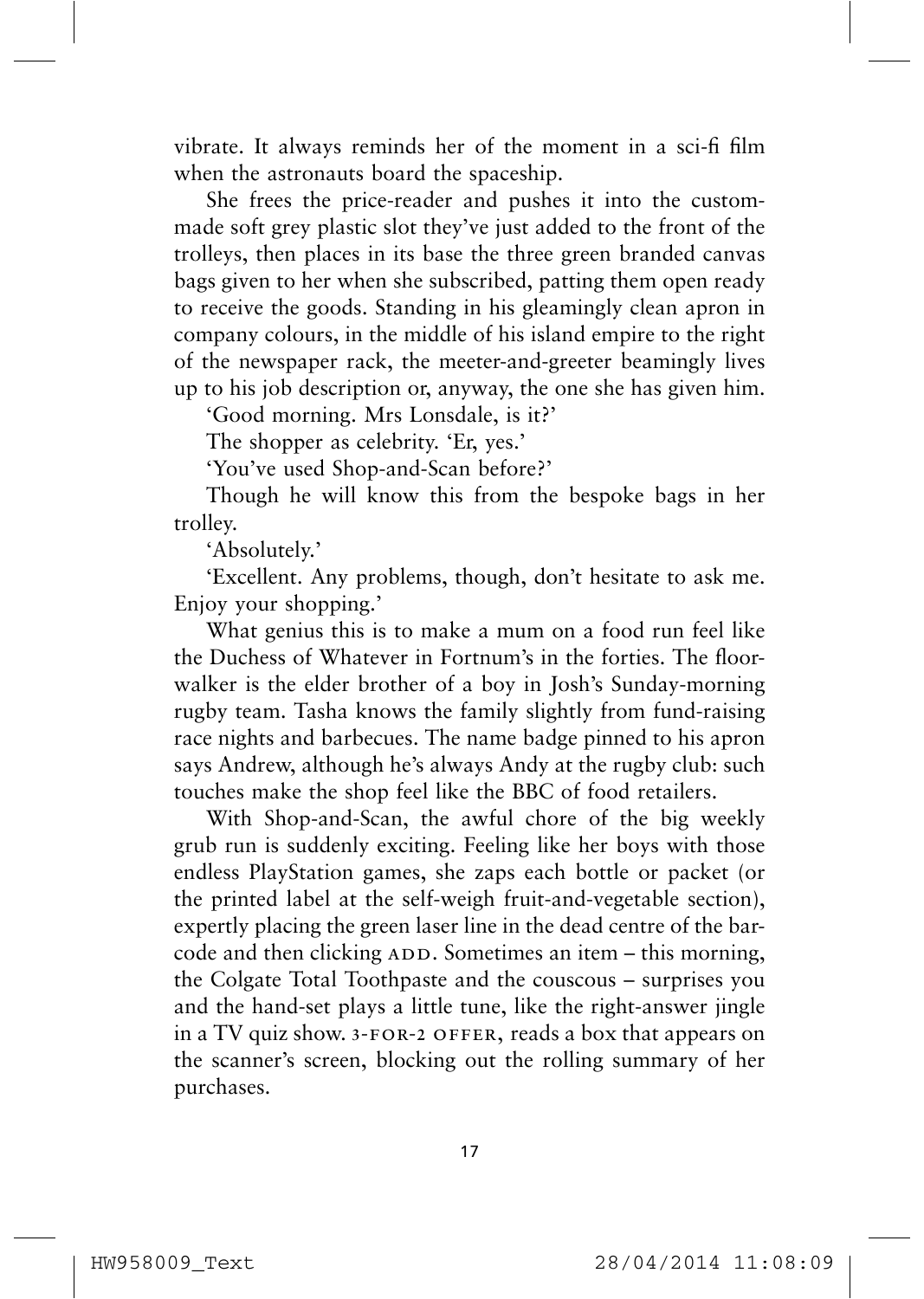vibrate. It always reminds her of the moment in a sci-fi film when the astronauts board the spaceship.

She frees the price-reader and pushes it into the custommade soft grey plastic slot they've just added to the front of the trolleys, then places in its base the three green branded canvas bags given to her when she subscribed, patting them open ready to receive the goods. Standing in his gleamingly clean apron in company colours, in the middle of his island empire to the right of the newspaper rack, the meeter-and-greeter beamingly lives up to his job description or, anyway, the one she has given him.

'Good morning. Mrs Lonsdale, is it?'

The shopper as celebrity. 'Er, yes.'

'You've used Shop-and-Scan before?'

Though he will know this from the bespoke bags in her trolley.

'Absolutely.'

'Excellent. Any problems, though, don't hesitate to ask me. Enjoy your shopping.'

What genius this is to make a mum on a food run feel like the Duchess of Whatever in Fortnum's in the forties. The floorwalker is the elder brother of a boy in Josh's Sunday-morning rugby team. Tasha knows the family slightly from fund-raising race nights and barbecues. The name badge pinned to his apron says Andrew, although he's always Andy at the rugby club: such touches make the shop feel like the BBC of food retailers.

With Shop-and-Scan, the awful chore of the big weekly grub run is suddenly exciting. Feeling like her boys with those endless PlayStation games, she zaps each bottle or packet (or the printed label at the self-weigh fruit-and-vegetable section), expertly placing the green laser line in the dead centre of the barcode and then clicking ADD. Sometimes an item – this morning, the Colgate Total Toothpaste and the couscous – surprises you and the hand-set plays a little tune, like the right-answer jingle in a TV quiz show. **3**-for-**2** offer, reads a box that appears on the scanner's screen, blocking out the rolling summary of her purchases.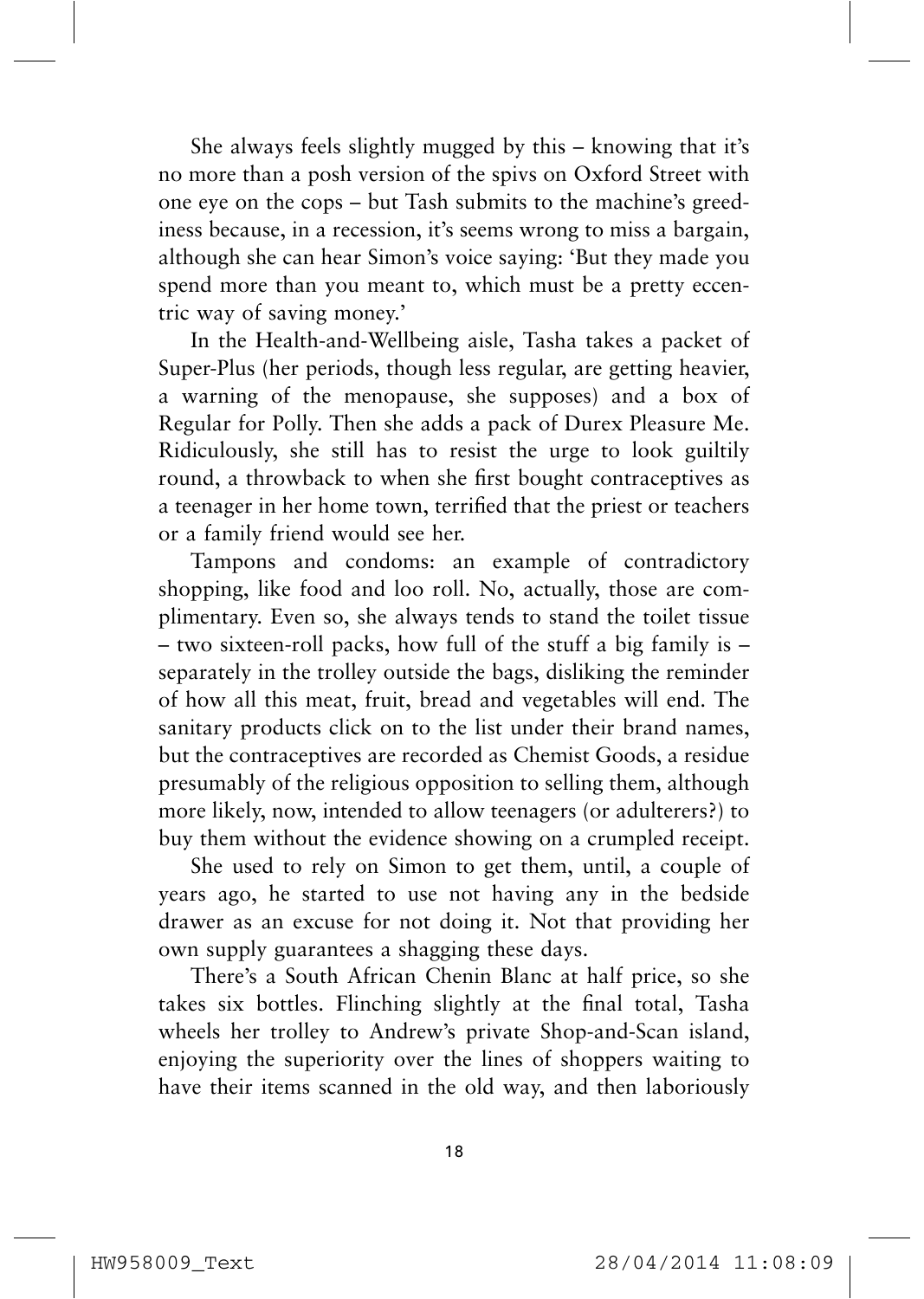She always feels slightly mugged by this – knowing that it's no more than a posh version of the spivs on Oxford Street with one eye on the cops – but Tash submits to the machine's greediness because, in a recession, it's seems wrong to miss a bargain, although she can hear Simon's voice saying: 'But they made you spend more than you meant to, which must be a pretty eccentric way of saving money.'

In the Health-and-Wellbeing aisle, Tasha takes a packet of Super-Plus (her periods, though less regular, are getting heavier, a warning of the menopause, she supposes) and a box of Regular for Polly. Then she adds a pack of Durex Pleasure Me. Ridiculously, she still has to resist the urge to look guiltily round, a throwback to when she first bought contraceptives as a teenager in her home town, terrified that the priest or teachers or a family friend would see her.

Tampons and condoms: an example of contradictory shopping, like food and loo roll. No, actually, those are complimentary. Even so, she always tends to stand the toilet tissue – two sixteen-roll packs, how full of the stuff a big family is – separately in the trolley outside the bags, disliking the reminder of how all this meat, fruit, bread and vegetables will end. The sanitary products click on to the list under their brand names, but the contraceptives are recorded as Chemist Goods, a residue presumably of the religious opposition to selling them, although more likely, now, intended to allow teenagers (or adulterers?) to buy them without the evidence showing on a crumpled receipt.

She used to rely on Simon to get them, until, a couple of years ago, he started to use not having any in the bedside drawer as an excuse for not doing it. Not that providing her own supply guarantees a shagging these days.

There's a South African Chenin Blanc at half price, so she takes six bottles. Flinching slightly at the final total, Tasha wheels her trolley to Andrew's private Shop-and-Scan island, enjoying the superiority over the lines of shoppers waiting to have their items scanned in the old way, and then laboriously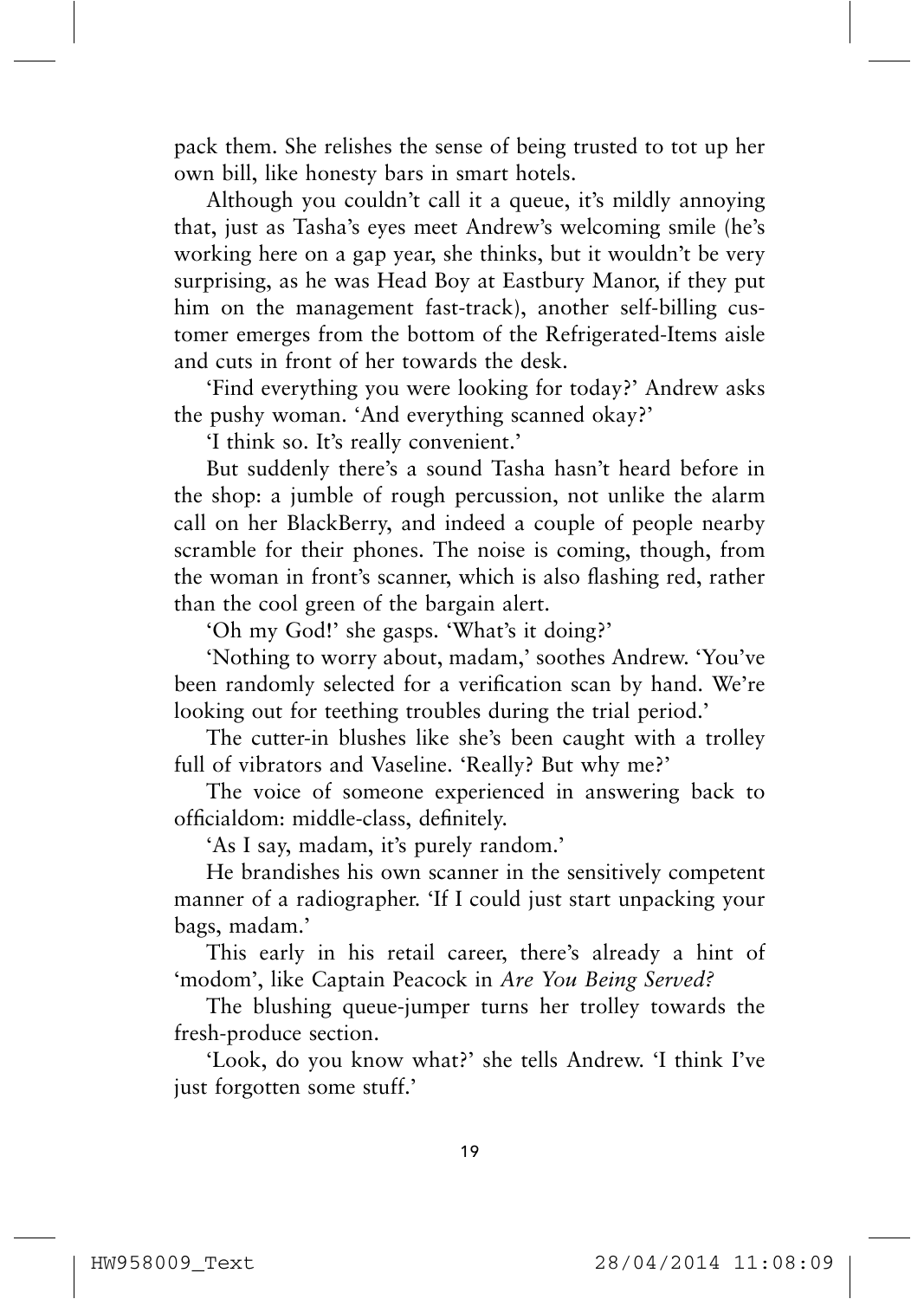pack them. She relishes the sense of being trusted to tot up her own bill, like honesty bars in smart hotels.

Although you couldn't call it a queue, it's mildly annoying that, just as Tasha's eyes meet Andrew's welcoming smile (he's working here on a gap year, she thinks, but it wouldn't be very surprising, as he was Head Boy at Eastbury Manor, if they put him on the management fast-track), another self-billing customer emerges from the bottom of the Refrigerated-Items aisle and cuts in front of her towards the desk.

'Find everything you were looking for today?' Andrew asks the pushy woman. 'And everything scanned okay?'

'I think so. It's really convenient.'

But suddenly there's a sound Tasha hasn't heard before in the shop: a jumble of rough percussion, not unlike the alarm call on her BlackBerry, and indeed a couple of people nearby scramble for their phones. The noise is coming, though, from the woman in front's scanner, which is also flashing red, rather than the cool green of the bargain alert.

'Oh my God!' she gasps. 'What's it doing?'

'Nothing to worry about, madam,' soothes Andrew. 'You've been randomly selected for a verification scan by hand. We're looking out for teething troubles during the trial period.'

The cutter-in blushes like she's been caught with a trolley full of vibrators and Vaseline. 'Really? But why me?'

The voice of someone experienced in answering back to officialdom: middle-class, definitely.

'As I say, madam, it's purely random.'

He brandishes his own scanner in the sensitively competent manner of a radiographer. 'If I could just start unpacking your bags, madam.'

This early in his retail career, there's already a hint of 'modom', like Captain Peacock in *Are You Being Served?*

The blushing queue-jumper turns her trolley towards the fresh-produce section.

'Look, do you know what?' she tells Andrew. 'I think I've just forgotten some stuff.'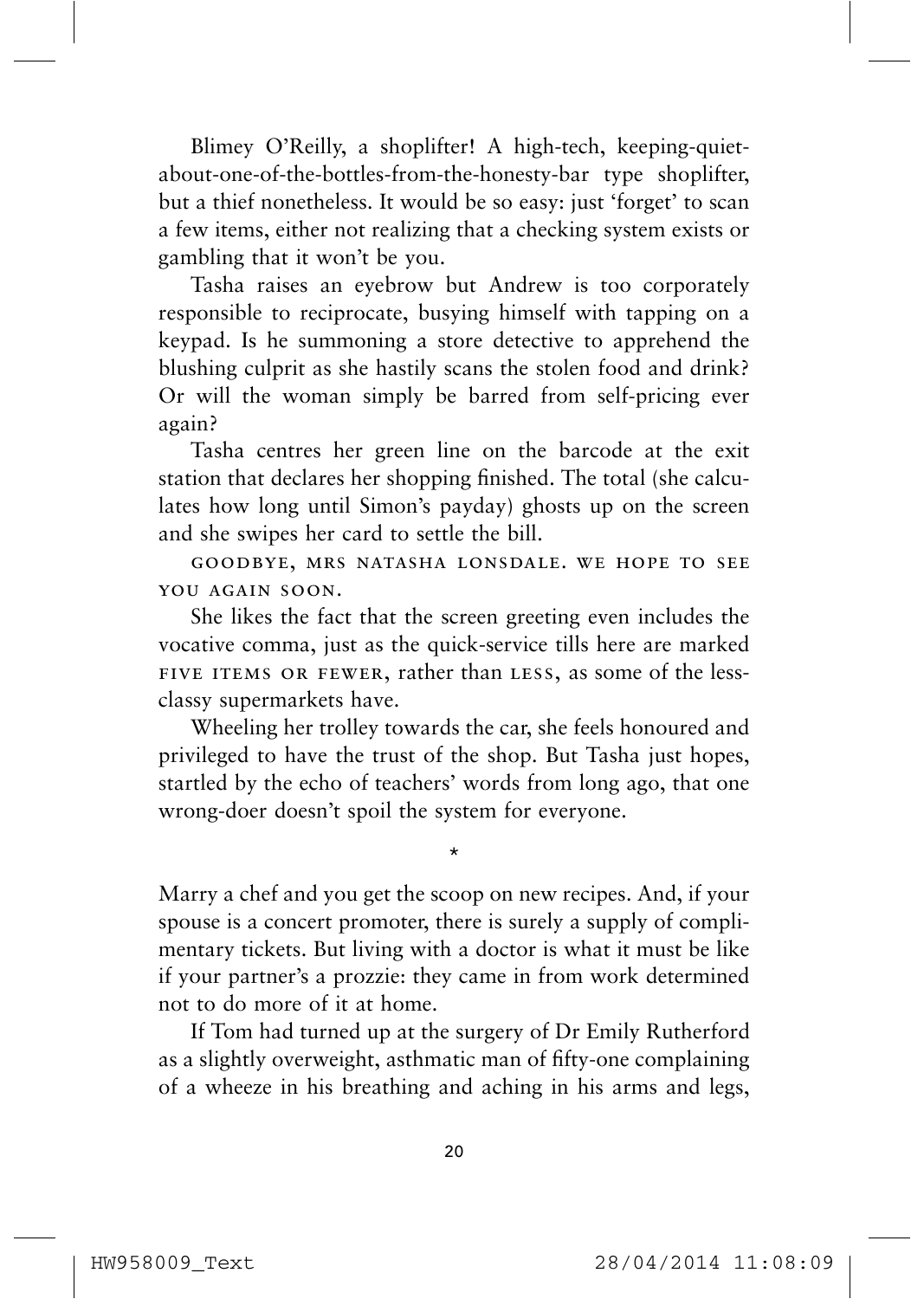Blimey O'Reilly, a shoplifter! A high-tech, keeping-quietabout-one-of-the-bottles-from-the-honesty-bar type shoplifter, but a thief nonetheless. It would be so easy: just 'forget' to scan a few items, either not realizing that a checking system exists or gambling that it won't be you.

Tasha raises an eyebrow but Andrew is too corporately responsible to reciprocate, busying himself with tapping on a keypad. Is he summoning a store detective to apprehend the blushing culprit as she hastily scans the stolen food and drink? Or will the woman simply be barred from self-pricing ever again?

Tasha centres her green line on the barcode at the exit station that declares her shopping finished. The total (she calculates how long until Simon's payday) ghosts up on the screen and she swipes her card to settle the bill.

goodbye, mrs natasha lonsdale. we hope to see you again soon.

She likes the fact that the screen greeting even includes the vocative comma, just as the quick-service tills here are marked FIVE ITEMS OR FEWER, rather than LESS, as some of the lessclassy supermarkets have.

Wheeling her trolley towards the car, she feels honoured and privileged to have the trust of the shop. But Tasha just hopes, startled by the echo of teachers' words from long ago, that one wrong-doer doesn't spoil the system for everyone.

\*

Marry a chef and you get the scoop on new recipes. And, if your spouse is a concert promoter, there is surely a supply of complimentary tickets. But living with a doctor is what it must be like if your partner's a prozzie: they came in from work determined not to do more of it at home.

If Tom had turned up at the surgery of Dr Emily Rutherford as a slightly overweight, asthmatic man of fifty-one complaining of a wheeze in his breathing and aching in his arms and legs,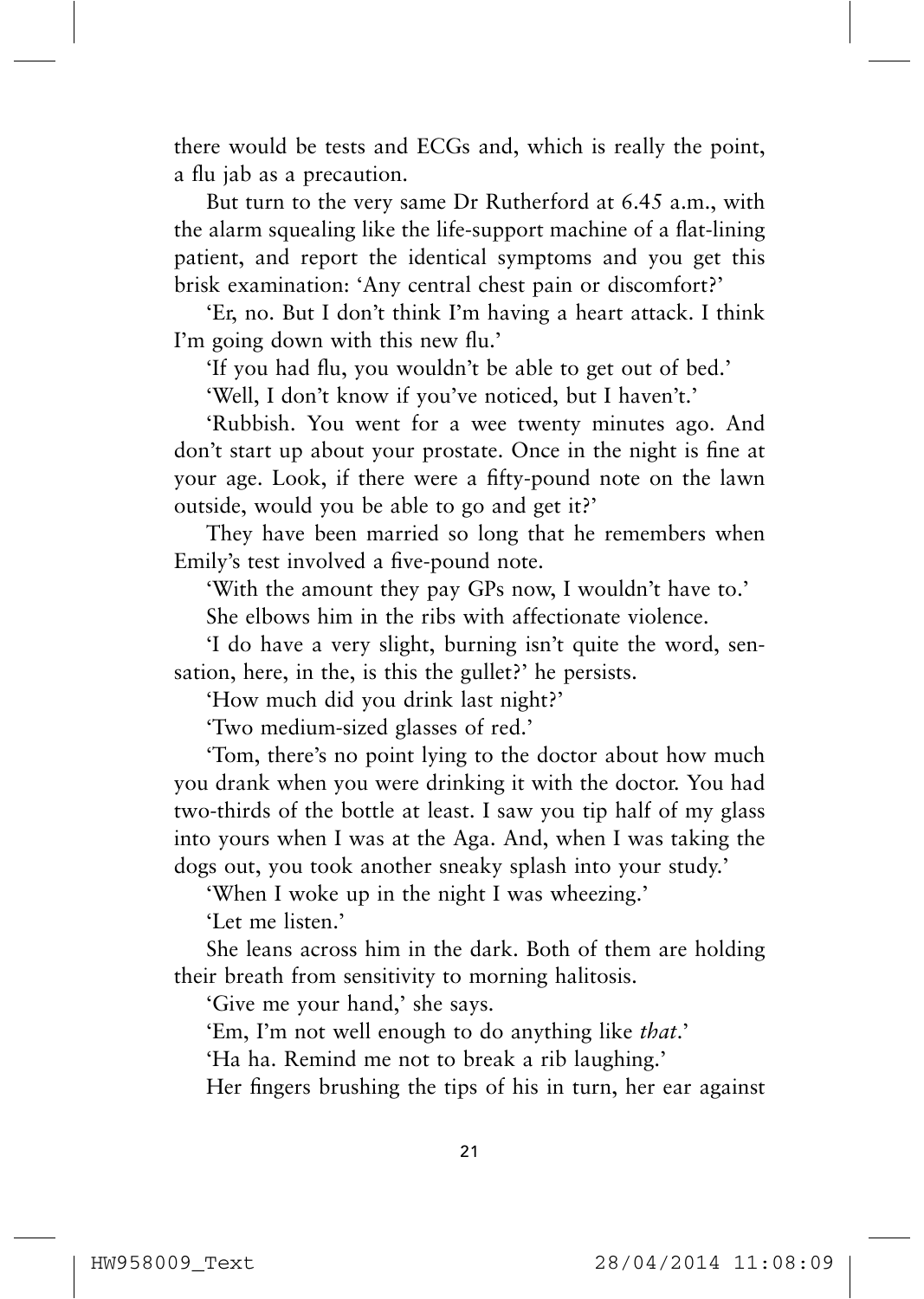there would be tests and ECGs and, which is really the point, a flu jab as a precaution.

But turn to the very same Dr Rutherford at 6.45 a.m., with the alarm squealing like the life-support machine of a flat-lining patient, and report the identical symptoms and you get this brisk examination: 'Any central chest pain or discomfort?'

'Er, no. But I don't think I'm having a heart attack. I think I'm going down with this new flu.'

'If you had flu, you wouldn't be able to get out of bed.'

'Well, I don't know if you've noticed, but I haven't.'

'Rubbish. You went for a wee twenty minutes ago. And don't start up about your prostate. Once in the night is fine at your age. Look, if there were a fifty-pound note on the lawn outside, would you be able to go and get it?'

They have been married so long that he remembers when Emily's test involved a five-pound note.

'With the amount they pay GPs now, I wouldn't have to.'

She elbows him in the ribs with affectionate violence.

'I do have a very slight, burning isn't quite the word, sensation, here, in the, is this the gullet?' he persists.

'How much did you drink last night?'

'Two medium-sized glasses of red.'

'Tom, there's no point lying to the doctor about how much you drank when you were drinking it with the doctor. You had two-thirds of the bottle at least. I saw you tip half of my glass into yours when I was at the Aga. And, when I was taking the dogs out, you took another sneaky splash into your study.'

'When I woke up in the night I was wheezing.'

'Let me listen.'

She leans across him in the dark. Both of them are holding their breath from sensitivity to morning halitosis.

'Give me your hand,' she says.

'Em, I'm not well enough to do anything like *that*.'

'Ha ha. Remind me not to break a rib laughing.'

Her fingers brushing the tips of his in turn, her ear against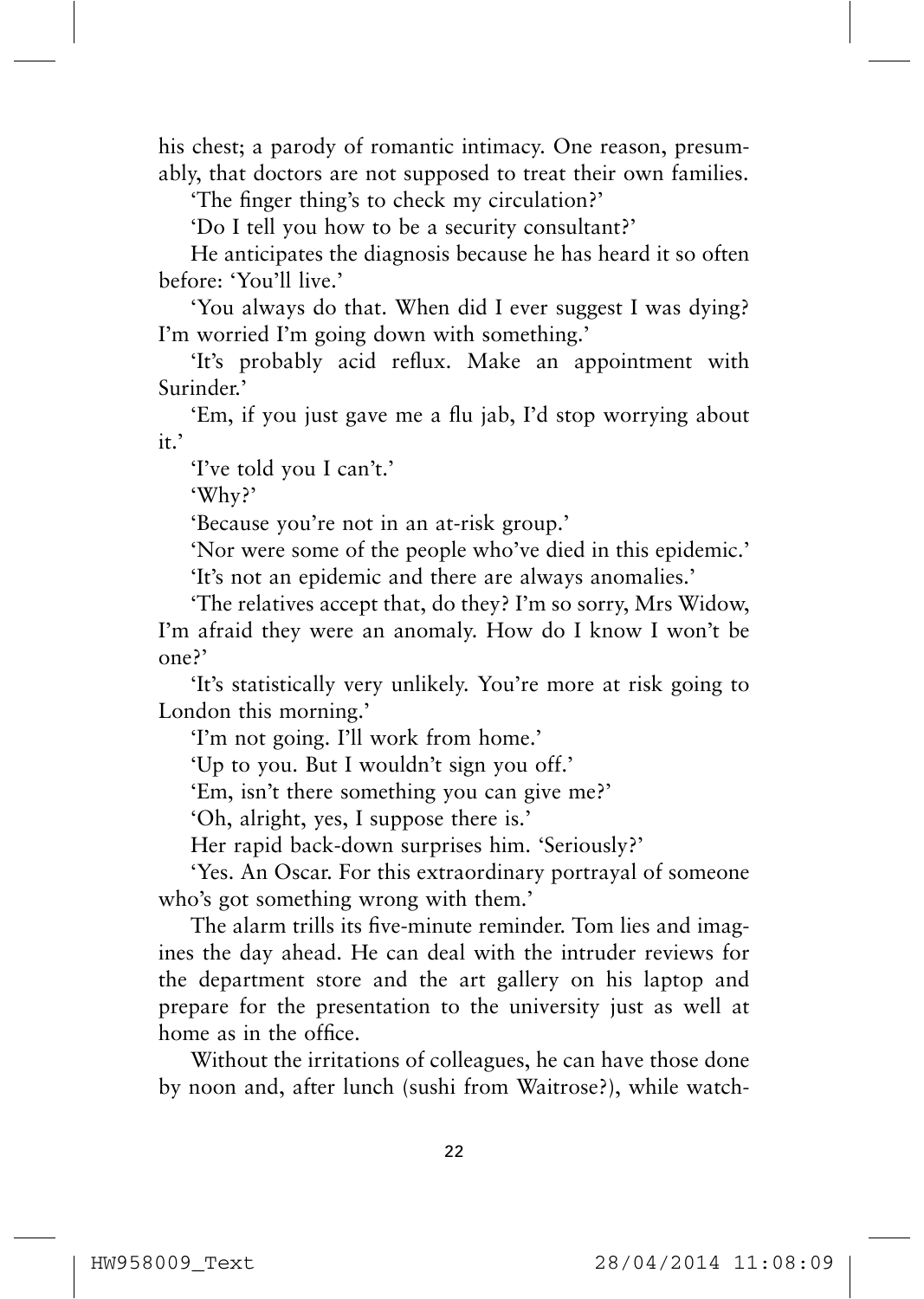his chest; a parody of romantic intimacy. One reason, presumably, that doctors are not supposed to treat their own families.

'The finger thing's to check my circulation?'

'Do I tell you how to be a security consultant?'

He anticipates the diagnosis because he has heard it so often before: 'You'll live.'

'You always do that. When did I ever suggest I was dying? I'm worried I'm going down with something.'

'It's probably acid reflux. Make an appointment with Surinder.'

'Em, if you just gave me a flu jab, I'd stop worrying about it.'

'I've told you I can't.'

'Why?'

'Because you're not in an at-risk group.'

'Nor were some of the people who've died in this epidemic.' 'It's not an epidemic and there are always anomalies.'

'The relatives accept that, do they? I'm so sorry, Mrs Widow, I'm afraid they were an anomaly. How do I know I won't be one?'

'It's statistically very unlikely. You're more at risk going to London this morning.'

'I'm not going. I'll work from home.'

'Up to you. But I wouldn't sign you off.'

'Em, isn't there something you can give me?'

'Oh, alright, yes, I suppose there is.'

Her rapid back-down surprises him. 'Seriously?'

'Yes. An Oscar. For this extraordinary portrayal of someone who's got something wrong with them.'

The alarm trills its five-minute reminder. Tom lies and imagines the day ahead. He can deal with the intruder reviews for the department store and the art gallery on his laptop and prepare for the presentation to the university just as well at home as in the office.

Without the irritations of colleagues, he can have those done by noon and, after lunch (sushi from Waitrose?), while watch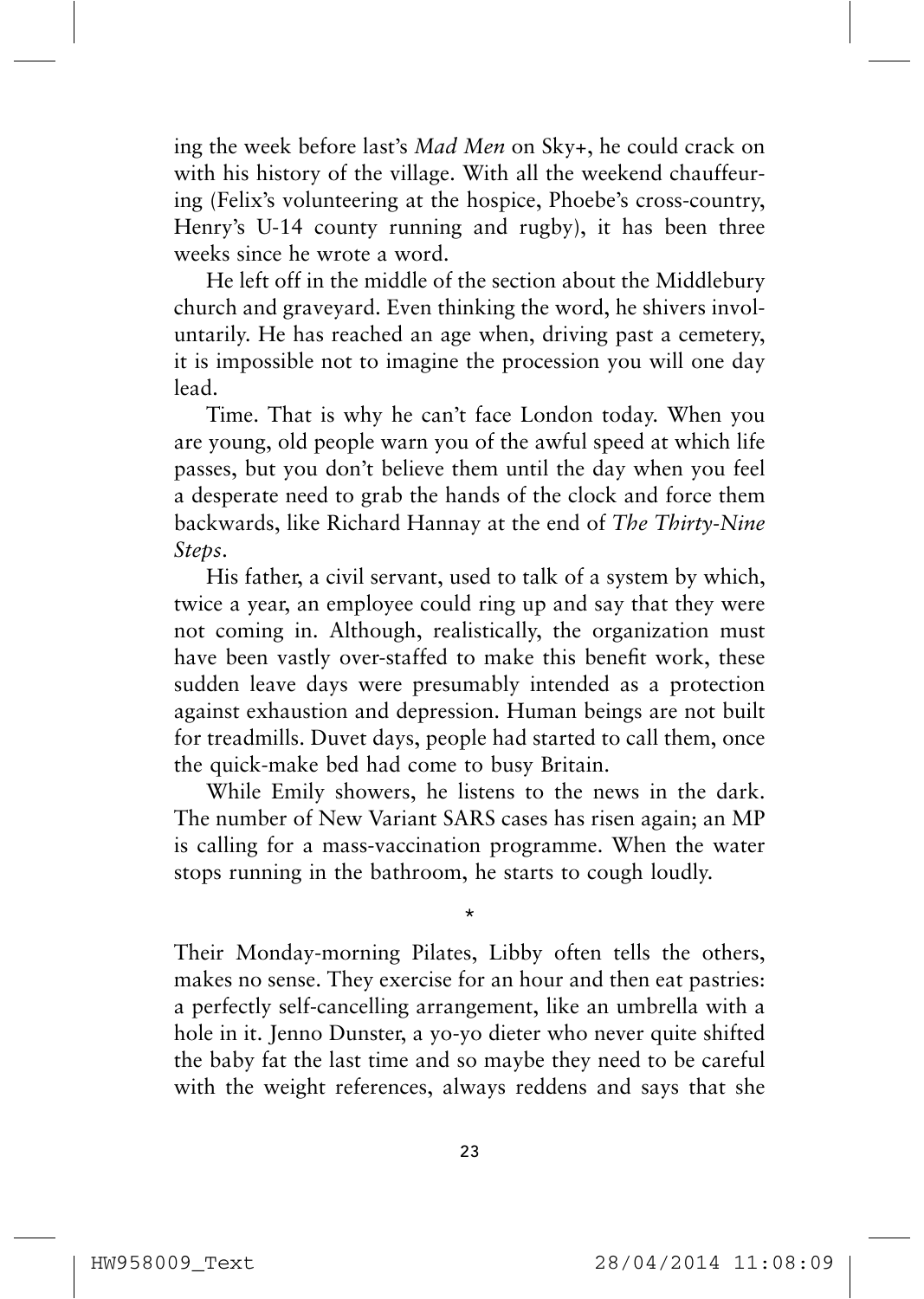ing the week before last's *Mad Men* on Sky+, he could crack on with his history of the village. With all the weekend chauffeuring (Felix's volunteering at the hospice, Phoebe's cross-country, Henry's U-14 county running and rugby), it has been three weeks since he wrote a word.

He left off in the middle of the section about the Middlebury church and graveyard. Even thinking the word, he shivers involuntarily. He has reached an age when, driving past a cemetery, it is impossible not to imagine the procession you will one day lead.

Time. That is why he can't face London today. When you are young, old people warn you of the awful speed at which life passes, but you don't believe them until the day when you feel a desperate need to grab the hands of the clock and force them backwards, like Richard Hannay at the end of *The Thirty-Nine Steps*.

His father, a civil servant, used to talk of a system by which, twice a year, an employee could ring up and say that they were not coming in. Although, realistically, the organization must have been vastly over-staffed to make this benefit work, these sudden leave days were presumably intended as a protection against exhaustion and depression. Human beings are not built for treadmills. Duvet days, people had started to call them, once the quick-make bed had come to busy Britain.

While Emily showers, he listens to the news in the dark. The number of New Variant SARS cases has risen again; an MP is calling for a mass-vaccination programme. When the water stops running in the bathroom, he starts to cough loudly.

\*

Their Monday-morning Pilates, Libby often tells the others, makes no sense. They exercise for an hour and then eat pastries: a perfectly self-cancelling arrangement, like an umbrella with a hole in it. Jenno Dunster, a yo-yo dieter who never quite shifted the baby fat the last time and so maybe they need to be careful with the weight references, always reddens and says that she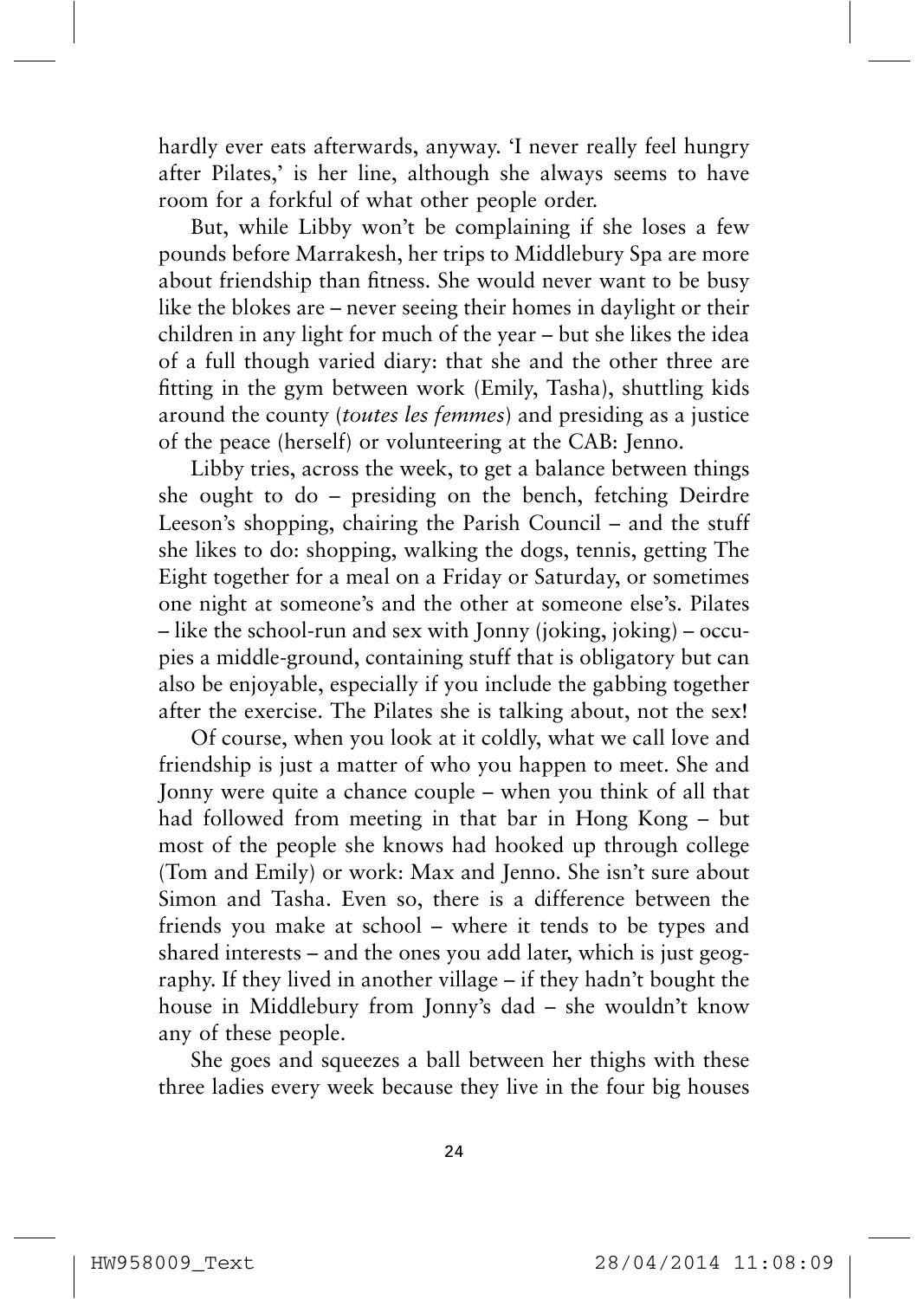hardly ever eats afterwards, anyway. 'I never really feel hungry after Pilates,' is her line, although she always seems to have room for a forkful of what other people order.

But, while Libby won't be complaining if she loses a few pounds before Marrakesh, her trips to Middlebury Spa are more about friendship than fitness. She would never want to be busy like the blokes are – never seeing their homes in daylight or their children in any light for much of the year – but she likes the idea of a full though varied diary: that she and the other three are fitting in the gym between work (Emily, Tasha), shuttling kids around the county (*toutes les femmes*) and presiding as a justice of the peace (herself) or volunteering at the CAB: Jenno.

Libby tries, across the week, to get a balance between things she ought to do – presiding on the bench, fetching Deirdre Leeson's shopping, chairing the Parish Council – and the stuff she likes to do: shopping, walking the dogs, tennis, getting The Eight together for a meal on a Friday or Saturday, or sometimes one night at someone's and the other at someone else's. Pilates – like the school-run and sex with Jonny (joking, joking) – occupies a middle-ground, containing stuff that is obligatory but can also be enjoyable, especially if you include the gabbing together after the exercise. The Pilates she is talking about, not the sex!

Of course, when you look at it coldly, what we call love and friendship is just a matter of who you happen to meet. She and Jonny were quite a chance couple – when you think of all that had followed from meeting in that bar in Hong Kong – but most of the people she knows had hooked up through college (Tom and Emily) or work: Max and Jenno. She isn't sure about Simon and Tasha. Even so, there is a difference between the friends you make at school – where it tends to be types and shared interests – and the ones you add later, which is just geography. If they lived in another village – if they hadn't bought the house in Middlebury from Jonny's dad – she wouldn't know any of these people.

She goes and squeezes a ball between her thighs with these three ladies every week because they live in the four big houses